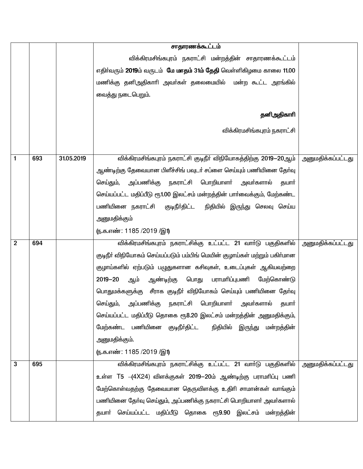|             |     |            | சாதாரணக்கூட்டம்                                                           |                          |
|-------------|-----|------------|---------------------------------------------------------------------------|--------------------------|
|             |     |            | விக்கிரமசிங்கபுரம் நகராட்சி மன்றத்தின் சாதாரணக்கூட்டம்                    |                          |
|             |     |            | எதிர்வரும் 2019ம் வருடம் மே மாதம் 31ம் தேதி வெள்ளிகிழமை காலை 11.00        |                          |
|             |     |            | மணிக்கு தனிஅதிகாாி அவா்கள் தலைமையில்  மன்ற கூட்ட அரங்கில்                 |                          |
|             |     |            | வைத்து நடைபெறும்.                                                         |                          |
|             |     |            |                                                                           |                          |
|             |     |            | தனிஅதிகாரி                                                                |                          |
|             |     |            | விக்கிரமசிங்கபுரம் நகராட்சி                                               |                          |
|             |     |            |                                                                           |                          |
| 1           | 693 | 31.05.2019 | விக்கிரமசிங்கபுரம் நகராட்சி குடிநீா் விநியோகத்திற்கு 2019—20ஆம்           | <u>அனுமதிக்கப்பட்டது</u> |
|             |     |            | ஆண்டிற்கு தேவையான பிளீச்சிங் பவுடர் சப்ளை செய்யும் பணியினை தேர்வு         |                          |
|             |     |            | அப்பணிக்கு நகராட்சி பொறியாளா் அவா்களால்<br>செய்தும்,<br>தயார்             |                          |
|             |     |            | செய்யப்பட்ட மதிப்பீடு ரூ1.00 இலட்சம் மன்றத்தின் பார்வைக்கும், மேற்கண்ட    |                          |
|             |     |            | பணியினை நகராட்சி  குடிநீா்திட்ட<br>நிதியில் இருந்து செலவு செய்ய           |                          |
|             |     |            | அனுமதிக்கும்                                                              |                          |
|             |     |            | (ந.க.எண்: 1185 /2019 /இ1)                                                 |                          |
| $\mathbf 2$ | 694 |            | விக்கிரமசிங்கபுரம் நகராட்சிக்கு உட்பட்ட 21 வார்டு பகுதிகளில்              | <u>அனுமதிக்கப்பட்டது</u> |
|             |     |            | குடிநீா் விநியோகம் செய்யப்படும் பம்பிங் மெயின் குழாய்கள் மற்றும் பகிா்மான |                          |
|             |     |            | குழாய்களில் ஏற்படும் பழுதுகளான கசிவுகள், உடைப்புகள் ஆகியவற்றை             |                          |
|             |     |            | பொது பராமாிப்புபணி<br>$2019 - 20$<br>ஆண்டிற்கு<br>மேற்கொண்டு<br>ஆம்       |                          |
|             |     |            | பொதுமக்களுக்கு சீராக குடிநீா் விநியோகம் செய்யும் பணியினை தோ்வு            |                          |
|             |     |            | அப்பணிக்கு<br>நகராட்சி பொறியாளா்<br>அவா்களால்<br>செய்தும்,<br>தயார்       |                          |
|             |     |            | செய்யப்பட்ட மதிப்பீடு தொகை ரூ8.20 இலட்சம் மன்றத்தின் அனுமதிக்கும்,        |                          |
|             |     |            | மேற்கண்ட பணியினை குடிநீா்திட்ட  நிதியில் இருந்து மன்றத்தின்               |                          |
|             |     |            | அனுமதிக்கும்.                                                             |                          |
|             |     |            | (ந.க.எண்: 1185 /2019 /இ1)                                                 |                          |
| 3           | 695 |            | விக்கிரமசிங்கபுரம் நகராட்சிக்கு உட்பட்ட 21 வார்டு பகுதிகளில்              | அனுமதிக்கப்பட்டது        |
|             |     |            | உள்ள T5 -(4X24) விளக்குகள் 2019–20ம் ஆண்டிற்கு பராமரிப்பு பணி             |                          |
|             |     |            | மேற்கொள்வதற்கு தேவையான தெருவிளக்கு உதிாி சாமான்கள் வாங்கும்               |                          |
|             |     |            | பணியினை தோ்வு செய்தும், அப்பணிக்கு நகராட்சி பொறியாளா் அவா்களால்           |                          |
|             |     |            | தயாா் செய்யப்பட்ட மதிப்பீடு தொகை ரூ9.90 இலட்சம் மன்றத்தின்                |                          |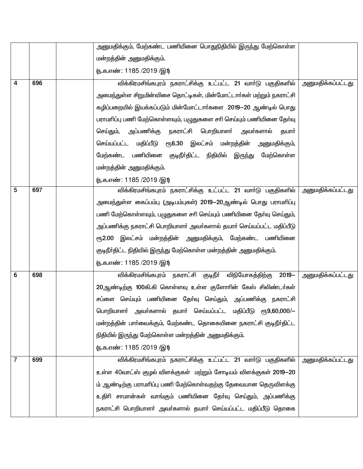|   |     | அனுமதிக்கும், மேற்கண்ட பணியினை பொதுநிதியில் இருந்து மேற்கொள்ள       |                          |
|---|-----|---------------------------------------------------------------------|--------------------------|
|   |     | மன்றத்தின் அனுமதிக்கும்.                                            |                          |
|   |     | (ந.க.எண்: 1185 /2019 /இ1)                                           |                          |
| 4 | 696 | விக்கிரமசிங்கபுரம் நகராட்சிக்கு உட்பட்ட 21 வார்டு பகுதிகளில்        | <u>அனுமதிக்கப்பட்டது</u> |
|   |     | அமைந்துள்ள சிறுமின்விசை தொட்டிகள், மின்மோட்டாா்கள் மற்றும் நகராட்சி |                          |
|   |     | கழிப்பறையில் இயக்கப்படும் மின்மோட்டார்களை 2019—20 ஆண்டில் பொது      |                          |
|   |     | பராமாிப்பு பணி மேற்கொள்ளவும், பழுதுகளை சாி செய்யும் பணியினை தோ்வு   |                          |
|   |     | செய்தும், அப்பணிக்கு<br>நகராட்சி பொறியாளா்<br>அவா்களால்<br>தயார்    |                          |
|   |     | ரூ6.30 இலட்சம் மன்றத்தின்<br>செய்யப்பட்ட மதிப்பீடு<br>அனுமதிக்கும், |                          |
|   |     | மேற்கண்ட பணியினை குடிநீர்திட்ட நிதியில்<br>இருந்து<br>மேற்கொள்ள     |                          |
|   |     | மன்றத்தின் அனுமதிக்கும்.                                            |                          |
|   |     | <u>(ந</u> .க.எண்: 1185 /2019 /இ1)                                   |                          |
| 5 | 697 | விக்கிரமசிங்கபுரம் நகராட்சிக்கு உட்பட்ட 21 வார்டு பகுதிகளில்        | <u>அனுமதிக்கப்பட்டது</u> |
|   |     | அமைந்துள்ள கைப்பம்பு (அடிபம்புகள்) 2019–20ஆண்டில் பொது பராமாிப்பு   |                          |
|   |     | பணி மேற்கொள்ளவும், பழுதுகளை சாி செய்யும் பணியினை தோ்வு செய்தும்,    |                          |
|   |     | அப்பணிக்கு நகராட்சி பொறியாளா் அவா்களால் தயாா் செய்யப்பட்ட மதிப்பீடு |                          |
|   |     | ரூ2.00 இலட்சம் மன்றத்தின் அனுமதிக்கும், மேற்கண்ட பணியினை            |                          |
|   |     | குடிநீா்திட்ட நிதியில் இருந்து மேற்கொள்ள மன்றத்தின் அனுமதிக்கும்.   |                          |
|   |     | (ந.க.எண்: 1185 /2019 /இ1)                                           |                          |
| 6 | 698 | விக்கிரமசிங்கபுரம் நகராட்சி குடிநீா் விநியோகத்திற்கு<br>$2019 -$    | <u>அனுமதிக்கப்பட்டது</u> |
|   |     | 20ஆண்டிற்கு 100கி.கி கொள்ளவு உள்ள குளோரின் கேஸ் சிலிண்டர்கள்        |                          |
|   |     | சப்ளை செய்யும் பணியினை தோ்வு செய்தும், அப்பணிக்கு நகராட்சி          |                          |
|   |     | பொறியாளா் அவா்களால் தயாா் செய்யப்பட்ட மதிப்பீடு ரூ9,60,000/—        |                          |
|   |     | மன்றத்தின் பாா்வைக்கும், மேற்கண்ட தொகையினை நகராட்சி குடிநீா்திட்ட   |                          |
|   |     | நிதியில் இருந்து மேற்கொள்ள மன்றத்தின் அனுமதிக்கும்.                 |                          |
|   |     | (ந.க.எண்: 1185 /2019 /இ1)                                           |                          |
| 7 | 699 | விக்கிரமசிங்கபுரம் நகராட்சிக்கு உட்பட்ட 21 வார்டு பகுதிகளில்        | அனுமதிக்கப்பட்டது        |
|   |     | உள்ள 40வாட்ஸ் குழல் விளக்குகள் மற்றும் சோடியம் விளக்குகள் 2019—20   |                          |
|   |     | ம் ஆண்டிற்கு பராமரிப்பு பணி மேற்கொள்வதற்கு தேவையான தெருவிளக்கு      |                          |
|   |     | உதிாி சாமான்கள் வாங்கும் பணியினை தோ்வு செய்தும், அப்பணிக்கு         |                          |
|   |     | நகராட்சி பொறியாளா் அவா்களால் தயாா் செய்யப்பட்ட மதிப்பீடு தொகை       |                          |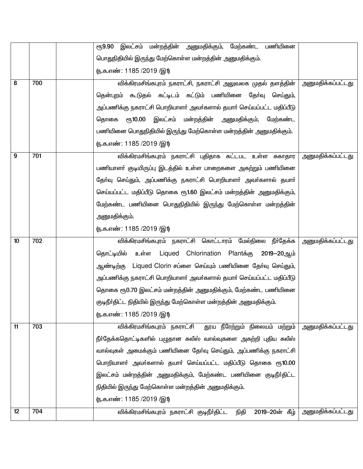|    |     | ரூ9.90 இலட்சம் மன்றத்தின் அனுமதிக்கும், மேற்கண்ட பணியினை            |                          |
|----|-----|---------------------------------------------------------------------|--------------------------|
|    |     | பொதுநிதியில் இருந்து மேற்கொள்ள மன்றத்தின் அனுமதிக்கும்.             |                          |
|    |     | (ந.க.எண்: 1185 /2019 /இ1)                                           |                          |
| 8  | 700 | விக்கிரமசிங்கபுரம் நகராட்சி, நகராட்சி அலுவலக முதல் தளத்தின்         | <u>அனுமதிக்கப்பட்டது</u> |
|    |     | தென்புறம் கூடுதல் கட்டிடம் கட்டும் பணியினை தேர்வு செய்தும்,         |                          |
|    |     | அப்பணிக்கு நகராட்சி பொறியாளர் அவர்களால் தயார் செய்யப்பட்ட மதிப்பீடு |                          |
|    |     | ரூ10.00 இலட்சம் மன்றத்தின் அனுமதிக்கும், மேற்கண்ட<br>தொகை           |                          |
|    |     | பணியினை பொதுநிதியில் இருந்து மேற்கொள்ள மன்றத்தின் அனுமதிக்கும்.     |                          |
|    |     | ரு.க.எண்: 1185 /2019 /இ1)                                           |                          |
| 9  | 701 | விக்கிரமசிங்கபுரம் நகராட்சி புதிதாக கட்டபட உள்ள சுகாதார             | அனுமதிக்கப்பட்டது        |
|    |     | பணியாளா் குடியிருப்பு இடத்தில் உள்ள பாறைகளை அகற்றும் பணியினை        |                          |
|    |     | தோ்வு செய்தும், அப்பணிக்கு நகராட்சி பொறியாளா் அவா்களால் தயாா்       |                          |
|    |     | செய்யப்பட்ட மதிப்பீடு தொகை ரூ1.60 இலட்சம் மன்றத்தின் அனுமதிக்கும்,  |                          |
|    |     | மேற்கண்ட பணியினை பொதுநிதியில் இருந்து மேற்கொள்ள மன்றத்தின்          |                          |
|    |     | அனுமதிக்கும்.                                                       |                          |
|    |     | (ந.க.எண்: 1185 /2019 /இ1)                                           |                          |
| 10 | 702 | விக்கிரமசிங்கபுரம் நகராட்சி கொட்டாரம் மேல்நிலை நீா்தேக்க            | அனுமதிக்கப்பட்டது        |
|    |     | தொட்டியில் உள்ள Liqued Chlorination Plantக்கு 2019–20ஆம்            |                          |
|    |     | ஆண்டிற்கு Liqued Clorin சப்ளை செய்யும் பணியினை தேர்வு செய்தும்,     |                          |
|    |     | அப்பணிக்கு நகராட்சி பொறியாளர் அவர்களால் தயார் செய்யப்பட்ட மதிப்பீடு |                          |
|    |     | தொகை ரூ0.70 இலட்சம் மன்றத்தின் அனுமதிக்கும், மேற்கண்ட பணியினை       |                          |
|    |     | குடிநீா்திட்ட நிதியில் இருந்து மேற்கொள்ள மன்றத்தின் அனுமதிக்கும்.   |                          |
|    |     | <u>(ந</u> .க.எண்: 1185 /2019 /இ1)                                   |                          |
| 11 | 703 | விக்கிரமசிங்கபுரம் நகராட்சி தூய நீரேற்றும் நிலையம் மற்றும்          | <u>அனுமதிக்கப்பட்டது</u> |
|    |     | நீா்தேக்கதொட்டிகளில் பழுதான சுலீஸ் வால்வுகளை அகற்றி புதிய சுலீஸ்    |                          |
|    |     | வால்வுகள் அமைக்கும் பணியினை தேர்வு செய்தும், அப்பணிக்கு நகராட்சி    |                          |
|    |     | பொறியாளா் அவா்களால் தயாா் செய்யப்பட்ட மதிப்பீடு தொகை ரூ10.00        |                          |
|    |     | இலட்சம் மன்றத்தின் அனுமதிக்கும், மேற்கண்ட பணியினை குடிநீா்திட்ட     |                          |
|    |     | நிதியில் இருந்து மேற்கொள்ள மன்றத்தின் அனுமதிக்கும்.                 |                          |
|    |     | (ந.க.எண்: 1185 /2019 /இ1)                                           |                          |
| 12 | 704 | 2019-20ன் கீழ்<br>விக்கிரமசிங்கபுரம் நகராட்சி குடிநீா்திட்ட<br>நிதி | <u>அனுமதிக்கப்பட்டது</u> |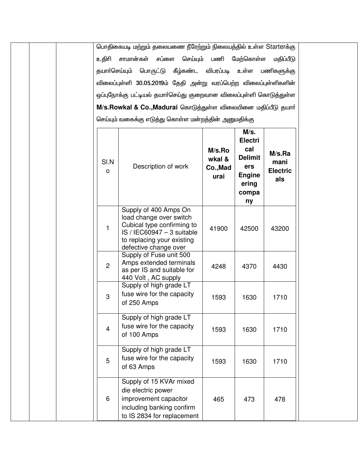|                | பொதிகையடி மற்றும் தலையணை நீரேற்றும் நிலையத்தில் உள்ள Starterக்கு                                                                                                      |                                      |                                                                                                 |                                          |
|----------------|-----------------------------------------------------------------------------------------------------------------------------------------------------------------------|--------------------------------------|-------------------------------------------------------------------------------------------------|------------------------------------------|
| உகிரி          | சாமான்கள் சப்ளை                                                                                                                                                       | செய்யும் பணி மேற்கொள்ள               |                                                                                                 | மதிப்பீடு                                |
| தயார்செய்யும்  | பொருட்டு                                                                                                                                                              | கீழ்கண்ட விபரப்படி                   | உள்ள                                                                                            | பணிகளுக்கு                               |
|                | விலைப்புள்ளி 30.05.2019ம் தேதி அன்று வரப்பெற்ற விலைப்புள்ளிகளின்                                                                                                      |                                      |                                                                                                 |                                          |
|                | ஒப்புநோக்கு பட்டியல் தயாா்செய்து குறைவான விலைப்புள்ளி கொடுத்துள்ள                                                                                                     |                                      |                                                                                                 |                                          |
|                | M/s.Rowkal & Co., Madurai கொடுத்துள்ள விலையினை மதிப்பீடு தயார்                                                                                                        |                                      |                                                                                                 |                                          |
|                | செய்யும் வகைக்கு எடுத்து கொள்ள மன்றத்தின் அனுமதிக்கு                                                                                                                  |                                      |                                                                                                 |                                          |
| SI.N<br>O      | Description of work                                                                                                                                                   | M/s.Ro<br>wkal &<br>Co., Mad<br>urai | M/s.<br><b>Electri</b><br>cal<br><b>Delimit</b><br>ers<br><b>Engine</b><br>ering<br>compa<br>ny | M/s.Ra<br>mani<br><b>Electric</b><br>als |
| 1              | Supply of 400 Amps On<br>load change over switch<br>Cubical type confirming to<br>$IS / IEC60947 - 3$ suitable<br>to replacing your existing<br>defective change over | 41900                                | 42500                                                                                           | 43200                                    |
| $\overline{2}$ | Supply of Fuse unit 500<br>Amps extended terminals<br>as per IS and suitable for<br>440 Volt, AC supply                                                               | 4248                                 | 4370                                                                                            | 4430                                     |
| 3              | Supply of high grade LT<br>fuse wire for the capacity<br>of 250 Amps                                                                                                  | 1593                                 | 1630                                                                                            | 1710                                     |
| $\overline{4}$ | Supply of high grade LT<br>fuse wire for the capacity<br>of 100 Amps                                                                                                  | 1593                                 | 1630                                                                                            | 1710                                     |
| 5              | Supply of high grade LT<br>fuse wire for the capacity<br>of 63 Amps                                                                                                   | 1593                                 | 1630                                                                                            | 1710                                     |
| 6              | Supply of 15 KVAr mixed<br>die electric power<br>improvement capacitor<br>including banking confirm<br>to IS 2834 for replacement                                     | 465                                  | 473                                                                                             | 478                                      |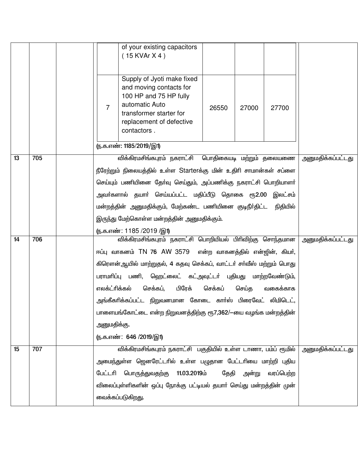|    |     |                | of your existing capacitors<br>$(15$ KVAr X 4)                                                                                                                          |         |                   |           |                   |
|----|-----|----------------|-------------------------------------------------------------------------------------------------------------------------------------------------------------------------|---------|-------------------|-----------|-------------------|
|    |     | $\overline{7}$ | Supply of Jyoti make fixed<br>and moving contacts for<br>100 HP and 75 HP fully<br>automatic Auto<br>transformer starter for<br>replacement of defective<br>contactors. | 26550   | 27000             | 27700     |                   |
|    |     |                | (ந.க.எண்: 1185/2019/இ1)                                                                                                                                                 |         |                   |           |                   |
| 13 | 705 |                | விக்கிரமசிங்கபுரம் நகராட்சி பொதிகையடி மற்றும் தலையணை                                                                                                                    |         |                   |           | அனுமதிக்கப்பட்டது |
|    |     |                | நீரேற்றும் நிலையத்தில் உள்ள Starterக்கு மின் உதிரி சாமான்கள் சப்ளை                                                                                                      |         |                   |           |                   |
|    |     |                | செய்யும் பணியினை தேர்வு செய்தும், அப்பணிக்கு நகராட்சி பொறியாளர்                                                                                                         |         |                   |           |                   |
|    |     |                | அவா்களால் தயாா் செய்யப்பட்ட மதிப்பீடு தொகை ரூ2.00 இலட்சம்                                                                                                               |         |                   |           |                   |
|    |     |                | மன்றத்தின் அனுமதிக்கும், மேற்கண்ட பணியினை குடிநீா்திட்ட                                                                                                                 |         |                   | நிதியில்  |                   |
|    |     |                | இருந்து மேற்கொள்ள மன்றத்தின் அனுமதிக்கும்.                                                                                                                              |         |                   |           |                   |
| 14 | 706 |                | (ந.க.எண்: 1185 /2019 /இ1)<br>விக்கிரமசிங்கபுரம் நகராட்சி பொறியியல் பிரிவிற்கு சொந்தமான                                                                                  |         | அனுமதிக்கப்பட்டது |           |                   |
|    |     |                | ஈப்பு வாகனம் TN 76 AW 3579 என்ற வாகனத்தில் என்ஜின், கியர்,                                                                                                              |         |                   |           |                   |
|    |     |                | கிரௌன்ஆயில் மாற்றுதல், 4 கதவு செக்கப், வாட்டா் சா்வீஸ் மற்றும் பொது                                                                                                     |         |                   |           |                   |
|    |     |                | பராமாிப்பு பணி, ஹெட்லைட் கட்அவுட்டா் புதியது மாற்றவேண்டும்,                                                                                                             |         |                   |           |                   |
|    |     | எலக்ட்ரிக்கல்  | பிரேக்<br>செக்கப்,                                                                                                                                                      | செக்கப் | செய்த             | வகைக்காக  |                   |
|    |     |                | அங்கீகாிக்கப்பட்ட நிறுவனமான கோடை காா்ஸ் பிரைவேட் லிமிடெட்,                                                                                                              |         |                   |           |                   |
|    |     |                | பாளையங்கோட்டை என்ற நிறுவனத்திற்கு ரூ7,362/—யை வழங்க மன்றத்தின்                                                                                                          |         |                   |           |                   |
|    |     | அனுமதிக்கு.    |                                                                                                                                                                         |         |                   |           |                   |
|    |     |                | (ந.க.எண்: 646 /2019/இ1)                                                                                                                                                 |         |                   |           |                   |
| 15 | 707 |                | விக்கிரமசிங்கபுரம் நகராட்சி பகுதியில் உள்ள டாணா, பம்ப் ரூமில்                                                                                                           |         |                   |           | அனுமதிக்கப்பட்டது |
|    |     |                | அமைந்துள்ள ஜெனரேட்டாில் உள்ள பழுதான பேட்டாியை மாற்றி புதிய                                                                                                              |         |                   |           |                   |
|    |     | பேட்டரி        | 11.03.2019ம்<br>பொருத்துவதற்கு                                                                                                                                          | தேதி    | அன்று             | வரப்பெற்ற |                   |
|    |     |                | விலைப்புள்ளிகளின் ஒப்பு நோக்கு பட்டியல் தயாா் செய்து மன்றத்தின் முன்                                                                                                    |         |                   |           |                   |
|    |     |                | வைக்கப்படுகிறது.                                                                                                                                                        |         |                   |           |                   |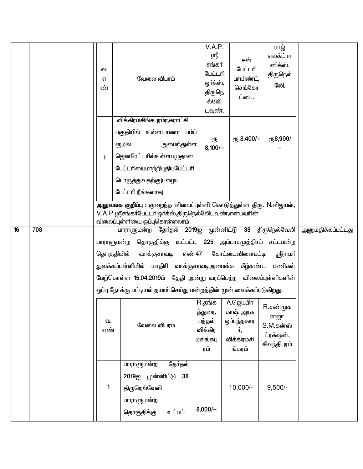|    |     | வ.<br>எ<br>ண் | வேலை விபரம்                                                                                                                                                                                                                                                                                                                            | V.A.P.<br>ஸ்ரீ<br>சங்கர்<br>பேட்டரி<br>ஒர்க்ஸ்,<br>திருநெ<br>ல்லேி<br>டவுண். | சன்<br>பேட்டரி<br>பாயிண்ட்,<br>செங்கோ<br>ட்டை.                     | ராஜ்<br>எலக்ட்ரா<br>னிக்ஸ்,<br>திருநெல்<br>லேி.            |                   |
|----|-----|---------------|----------------------------------------------------------------------------------------------------------------------------------------------------------------------------------------------------------------------------------------------------------------------------------------------------------------------------------------|------------------------------------------------------------------------------|--------------------------------------------------------------------|------------------------------------------------------------|-------------------|
|    |     | 1             | விக்கிரமசிங்கபுரம்நகராட்சி<br>பகுதியில் உள்ளடாணா பம்ப்<br>ரூமில்<br>அமைந்துள்ள<br>ஜெனரேட்டாில்உள்ளபழுதான<br>பேட்டரியைமாற்றிபுதியபேட்டரி<br>பொருத்துவதற்கு(பழைய<br>பேட்டரி நீங்கலாக)                                                                                                                                                    | ரூ<br>$8,100/-$                                                              | ет, 8,400/-                                                        | ரூ8,900/                                                   |                   |
|    |     |               | அலுவலக குறிப்பு : குறைந்த விலைப்புள்ளி கொடுத்துள்ள திரு. N.விஜயன்,<br>V.A.P.ஸ்ரீசங்கர்பேட்டரிஒர்க்ஸ்,திருநெல்லேடவுண்,என்பவரின்<br>விலைப்புள்ளியை ஒப்புகொள்ளலாம்                                                                                                                                                                        |                                                                              |                                                                    |                                                            |                   |
| 16 | 708 | தொகுதியில்    | பாராளுமன்ற தேர்தல் 2019ஐ முன்னிட்டு 38 திருநெல்வேலி<br>பாராளுமன்ற தொகுதிக்கு உட்பட்ட 225 அம்பாசமுத்திரம் சட்டமன்ற<br>வாக்குசாவடி<br>துவக்கப்பள்ளியில் மாதிரி வாக்குசாவடிஅமைக்க கீழ்கண்ட பணிகள்<br>மேற்கொள்ள 15.04.2019ம் தேதி அன்று வரப்பெற்ற விலைப்புள்ளிகளின்<br>ஒப்பு நோக்கு பட்டியல் தயாா் செய்து மன்றத்தின் முன் வைக்கப்படுகிறது. |                                                                              | எண்47 கோட்டைவிளைபட்டி                                              | ஸ்ரீராமர்                                                  | அனுமதிக்கப்பட்டது |
|    |     | வ.<br>எண்     | வேலை விபரம்                                                                                                                                                                                                                                                                                                                            | R.தங்க<br>த்துரை,<br>பந்தல்<br>விக்கிர<br>மசிங்கபு<br>ரம்                    | A.ஜெயபிர<br>காஷ் அரசு<br>ஒப்பந்தகார<br>ர்,<br>விக்கிரமசி<br>ங்கரம் | R.சண்முக<br>ராஜா<br>S.M.கன்ஸ்<br>ட்ரக்ஷன்,<br>சிவந்திபுரம் |                   |
|    |     | 1             | தேர்தல்<br>பாராளுமன்ற<br>2019ஐ முன்னிட்டு<br>38<br>திருநெல்வேலி<br>பாராளுமன்ற<br>தொகுதிக்கு<br>உட்பட்ட                                                                                                                                                                                                                                 | $8,000/-$                                                                    | $10,000/-$                                                         | $9,500/-$                                                  |                   |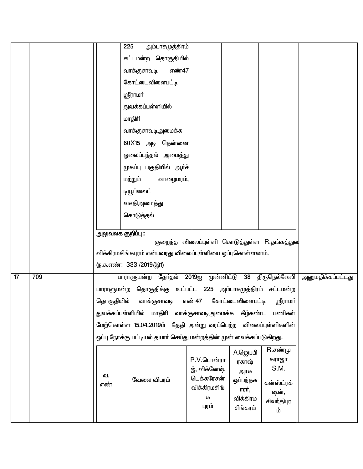|    |     |            | 225<br>அம்பாசமுத்திரம்                                              |                                              |                  |                    |                          |
|----|-----|------------|---------------------------------------------------------------------|----------------------------------------------|------------------|--------------------|--------------------------|
|    |     |            | சட்டமன்ற தொகுதியில்                                                 |                                              |                  |                    |                          |
|    |     |            | எண்47<br>வாக்குசாவடி                                                |                                              |                  |                    |                          |
|    |     |            | கோட்டைவிளைபட்டி                                                     |                                              |                  |                    |                          |
|    |     |            | ஸ்ரீராமர்                                                           |                                              |                  |                    |                          |
|    |     |            | துவக்கப்பள்ளியில்                                                   |                                              |                  |                    |                          |
|    |     |            | மாதிரி                                                              |                                              |                  |                    |                          |
|    |     |            | வாக்குசாவடிஅமைக்க                                                   |                                              |                  |                    |                          |
|    |     |            | 60X15 அடி தென்னை                                                    |                                              |                  |                    |                          |
|    |     |            | ஒலைப்பந்தல் அமைத்து                                                 |                                              |                  |                    |                          |
|    |     |            | முகப்பு பகுதியில் ஆர்ச்                                             |                                              |                  |                    |                          |
|    |     |            | மற்றும்<br>வாழைமரம்,                                                |                                              |                  |                    |                          |
|    |     |            | டியூப்லைட்                                                          |                                              |                  |                    |                          |
|    |     |            | வசதிஅமைத்து                                                         |                                              |                  |                    |                          |
|    |     |            | கொடுத்தல்                                                           |                                              |                  |                    |                          |
|    |     |            | அலுவலக குறிப்பு :                                                   |                                              |                  |                    |                          |
|    |     |            |                                                                     | குறைந்த விலைப்புள்ளி கொடுத்துள்ள R.தங்கத்துன |                  |                    |                          |
|    |     |            | விக்கிரமசிங்கபுரம் என்பவரது விலைப்புள்ளியை ஒப்புகொள்ளலாம்.          |                                              |                  |                    |                          |
|    |     |            | <u>ரு.க.எண்: 333/2019/இ1)</u>                                       |                                              |                  |                    |                          |
| 17 | 709 |            | பாராளுமன்ற தேர்தல் 2019ஐ முன்னிட்டு 38 திருநெல்வேலி                 |                                              |                  |                    | <u>அனுமதிக்கப்பட்டது</u> |
|    |     |            | பாராளுமன்ற தொகுதிக்கு உட்பட்ட 225 அம்பாசமுத்திரம் சட்டமன்ற          |                                              |                  |                    |                          |
|    |     | தொகுதியில் | வாக்குசாவடி                                                         | எண்47 கோட்டைவிளைபட்டி ஸ்ரீராமா்              |                  |                    |                          |
|    |     |            | துவக்கப்பள்ளியில் மாதிாி வாக்குசாவடிஅமைக்க கீழ்கண்ட                 |                                              |                  | பணிகள்             |                          |
|    |     |            | மேற்கொள்ள 15.04.2019ம் தேதி அன்று வரப்பெற்ற விலைப்புள்ளிகளின்       |                                              |                  |                    |                          |
|    |     |            | ஒப்பு நோக்கு பட்டியல் தயாா் செய்து மன்றத்தின் முன் வைக்கப்படுகிறது. |                                              |                  |                    |                          |
|    |     |            |                                                                     |                                              | A.ஜெயபி          | $R.\vec{e}$ ண்மு   |                          |
|    |     |            |                                                                     | P.V.பொன்ரா                                   | ரகாஷ்            | கராஜா<br>S.M.      |                          |
|    |     | வ.         | வேலை விபரம்                                                         | ஜ், விக்னேஷ்<br>டெக்கரேசன்                   | அரசு<br>ஒப்பந்தக |                    |                          |
|    |     | எண்        |                                                                     | விக்கிரமசிங்                                 | ாரர்,            | கன்ஸ்ட்ரக்<br>ஷன், |                          |
|    |     |            |                                                                     | க                                            | விக்கிரம         | சிவந்திபுர         |                          |
|    |     |            |                                                                     | புரம்                                        | சிங்கரம்         | ம்                 |                          |
|    |     |            |                                                                     |                                              |                  |                    |                          |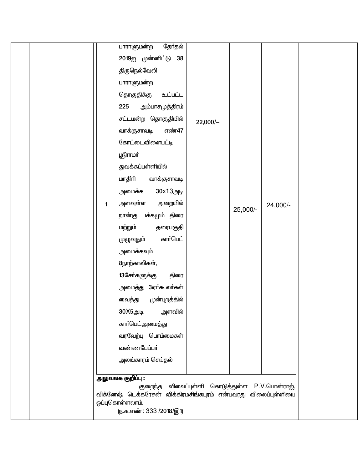|              | தோ்தல்<br>பாராளுமன்ற                                           |                          |          |               |  |
|--------------|----------------------------------------------------------------|--------------------------|----------|---------------|--|
|              | 2019ஐ முன்னிட்டு 38                                            |                          |          |               |  |
|              | திருநெல்வேலி                                                   |                          |          |               |  |
|              | பாராளுமன்ற                                                     |                          |          |               |  |
|              | தொகுதிக்கு<br>உட்பட்ட                                          |                          |          |               |  |
|              | அம்பாசமுத்திரம்<br>225                                         |                          |          |               |  |
|              | சட்டமன்ற தொகுதியில்                                            | $22,000/-$               |          |               |  |
|              | வாக்குசாவடி<br>எண்47                                           |                          |          |               |  |
|              | கோட்டைவிளைபட்டி                                                |                          |          |               |  |
|              | ஸ்ரீராமர்                                                      |                          |          |               |  |
|              | துவக்கப்பள்ளியில்                                              |                          |          |               |  |
|              | மாதிரி<br>வாக்குசாவடி                                          |                          |          |               |  |
|              | 30x13அடி<br>அமைக்க                                             |                          |          |               |  |
| $\mathbf{1}$ | அளவுள்ள<br>அறையில்                                             |                          |          | 24,000/-      |  |
|              | நான்கு பக்கமும் திரை                                           |                          | 25,000/- |               |  |
|              | மற்றும்<br>தரைபகுதி                                            |                          |          |               |  |
|              | கார்பெட்<br>முழுவதும்                                          |                          |          |               |  |
|              | அமைக்கவும்                                                     |                          |          |               |  |
|              | 8நாற்காலிகள்,                                                  |                          |          |               |  |
|              | 13சேர்களுக்கு<br>திரை                                          |                          |          |               |  |
|              | அமைத்து 3ஏா்கூலா்கள்                                           |                          |          |               |  |
|              | வைத்து<br>முன்புறத்தில்                                        |                          |          |               |  |
|              | அளவில்<br>30X5அடி                                              |                          |          |               |  |
|              | காா்பெட்அமைத்து                                                |                          |          |               |  |
|              | வரவேற்பு பொம்மைகள்                                             |                          |          |               |  |
|              | வண்ணபேப்பா்                                                    |                          |          |               |  |
|              | அலங்காரம் செய்தல்                                              |                          |          |               |  |
|              |                                                                |                          |          |               |  |
|              | அலுவலக குறிப்பு:<br>குறைந்த                                    | விலைப்புள்ளி கொடுத்துள்ள |          | P.V.பொன்ராஜ், |  |
|              | விக்னேஷ் டெக்கரேசன் விக்கிரமசிங்கபுரம் என்பவரது விலைப்புள்ளியை |                          |          |               |  |
|              | ஒப்புகொள்ளலாம்.<br>(ந.க.எண்: 333 /2018/இ1)                     |                          |          |               |  |
|              |                                                                |                          |          |               |  |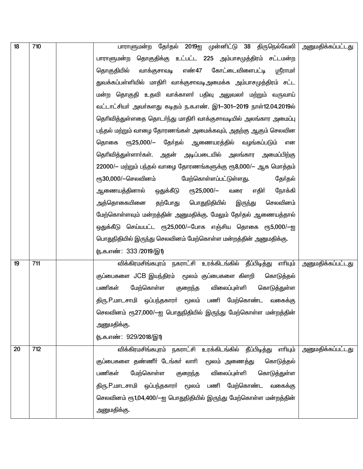| 18 | 710 | பாராளுமன்ற தோ்தல் 2019ஐ முன்னிட்டு 38 திருநெல்வேலி அனுமதிக்கப்பட்டது         |                          |
|----|-----|------------------------------------------------------------------------------|--------------------------|
|    |     | பாராளுமன்ற தொகுதிக்கு உட்பட்ட 225 அம்பாசமுத்திரம் சட்டமன்ற                   |                          |
|    |     | எண்47<br>கோட்டைவிளைபட்டி<br>தொகுதியில்<br>வாக்குசாவடி<br><u>ஸ்ரீராமர்</u>    |                          |
|    |     | துவக்கப்பள்ளியில் மாதிரி வாக்குசாவடிஅமைக்க அம்பாசமுத்திரம் சட்ட              |                          |
|    |     | மன்ற தொகுதி உதவி வாக்காளா் பதிவு அலுவலா் மற்றும் வருவாய்                     |                          |
|    |     | வட்டாட்சியா் அவா்களது கடிதம் ந.க.எண். இ1-301-2019 நாள்12.04.2019ல்           |                          |
|    |     | தெரிவித்துள்ளதை தொடா்ந்து மாதிரி வாக்குசாவடியில் அலங்கார அமைப்பு             |                          |
|    |     | பந்தல் மற்றும் வாழை தோரணங்கள் அமைக்கவும், அதற்கு ஆகும் செலவின                |                          |
|    |     | ரூ25,000/– தேர்தல் ஆணையரத்தில் வழங்கப்படும்<br>தொகை<br>என                    |                          |
|    |     | தெரிவித்துள்ளாா்கள். அதன் அடிப்படையில் அலங்கார அமைப்பிற்கு                   |                          |
|    |     | 22000/– மற்றும் பந்தல் வாழை தோரணங்களுக்கு ரூ8,000/– ஆக மொத்தம்               |                          |
|    |     | ரூ30,000/-செலவினம்<br>மேற்கொள்ளப்பட்டுள்ளது.<br>தேர்தல்                      |                          |
|    |     | <sub>€</sub> 25,000/-<br>எதிர்<br>ஆணையத்தினால்<br>ஒதுக்கீடு<br>நோக்கி<br>வரை |                          |
|    |     | தற்போது<br>பொதுநிதியில்<br>அத்தொகையினை<br>இருந்து<br>செலவினம்                |                          |
|    |     | மேற்கொள்ளவும் மன்றத்தின் அனுமதிக்கு. மேலும் தேர்தல் ஆணையத்தால்               |                          |
|    |     | ஒதுக்கீடு செய்யபட்ட ரூ25,000/-போக எஞ்சிய தொகை ரூ5,000/-ஐ                     |                          |
|    |     | பொதுநிதியில் இருந்து செலவினம் மேற்கொள்ள மன்றத்தின் அனுமதிக்கு.               |                          |
|    |     | <u>ரு.க.எண்: 333/2019/இ1)</u>                                                |                          |
| 19 | 711 | விக்கிரமசிங்கபுரம் நகராட்சி உரக்கிடங்கில் தீப்பிடித்து எரியும்               | <u>அனுமதிக்கப்பட்டது</u> |
|    |     | குப்பைகளை JCB இயந்திரம் மூலம் குப்பைகளை கிளறி<br>கொடுத்தல்                   |                          |
|    |     | மேற்கொள்ள<br>பணிகள்<br>விலைப்புள்ளி<br>கொடுத்துள்ள<br>குறைந்த                |                          |
|    |     | பணி மேற்கொண்ட<br>திரு.P.மாடசாமி ஒப்பந்தகாரா் மூலம்<br>வகைக்கு                |                          |
|    |     | செலவினம் ரூ27,000/—ஐ பொதுநிதியில் இருந்து மேற்கொள்ள மன்றத்தின்               |                          |
|    |     | அனுமதிக்கு.                                                                  |                          |
|    |     | (ந.க.எண்: 929/2018/இ1)                                                       |                          |
| 20 | 712 | விக்கிரமசிங்கபுரம் நகராட்சி உரக்கிடங்கில் தீப்பிடித்து<br>எரியும்            | அனுமதிக்கப்பட்டது        |
|    |     | குப்பைகளை தண்ணீா் டேங்கா் லாாி மூலம் அணைத்து<br>கொடுத்தல்                    |                          |
|    |     | மேற்கொள்ள<br>பணிகள்<br>விலைப்புள்ளி<br>கொடுத்துள்ள<br>குறைந்த                |                          |
|    |     | திரு.P.மாடசாமி ஒப்பந்தகாரா் மூலம் பணி மேற்கொண்ட<br>வகைக்கு                   |                          |
|    |     | செலவினம் ரூ1,04,400/—ஐ பொதுநிதியில் இருந்து மேற்கொள்ள மன்றத்தின்             |                          |
|    |     | அனுமதிக்கு.                                                                  |                          |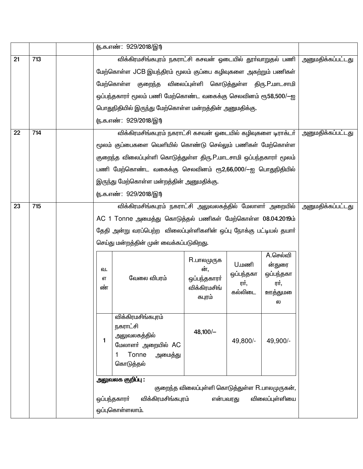|    |                                                                    |                                                           |                                                            | ரு.க.எண்: 929/2018/இ1)                                             |                        |                            |                     |                          |
|----|--------------------------------------------------------------------|-----------------------------------------------------------|------------------------------------------------------------|--------------------------------------------------------------------|------------------------|----------------------------|---------------------|--------------------------|
| 21 | 713                                                                |                                                           |                                                            | விக்கிரமசிங்கபுரம் நகராட்சி கசவன் ஓடையில் தூா்வாறுதல் பணி          |                        |                            |                     | <u>அனுமதிக்கப்பட்டது</u> |
|    |                                                                    |                                                           |                                                            | மேற்கொள்ள JCB இயந்திரம் மூலம் குப்பை கழிவுகளை அகற்றும் பணிகள்      |                        |                            |                     |                          |
|    |                                                                    |                                                           |                                                            | மேற்கொள்ள குறைந்த விலைப்புள்ளி கொடுத்துள்ள திரு.P.மாடசாமி          |                        |                            |                     |                          |
|    |                                                                    |                                                           |                                                            | ஒப்பந்தகாரா் மூலம் பணி மேற்கொண்ட வகைக்கு செலவினம் ரூ58,500/—ஐ      |                        |                            |                     |                          |
|    |                                                                    |                                                           |                                                            | பொதுநிதியில் இருந்து மேற்கொள்ள மன்றத்தின் அனுமதிக்கு.              |                        |                            |                     |                          |
|    |                                                                    |                                                           |                                                            | (ந.க.எண்: 929/2018/இ1)                                             |                        |                            |                     |                          |
| 22 | 714                                                                |                                                           |                                                            | விக்கிரமசிங்கபுரம் நகராட்சி கசவன் ஓடையில் கழிவுகளை டிராக்டர்       |                        |                            |                     | <u>அனுமதிக்கப்பட்டது</u> |
|    |                                                                    |                                                           |                                                            | மூலம் குப்பைகளை வெளியில் கொண்டு செல்லும் பணிகள் மேற்கொள்ள          |                        |                            |                     |                          |
|    | குறைந்த விலைப்புள்ளி கொடுத்துள்ள திரு.P.மாடசாமி ஒப்பந்தகாரா் மூலம் |                                                           |                                                            |                                                                    |                        |                            |                     |                          |
|    |                                                                    | பணி மேற்கொண்ட வகைக்கு செலவினம் ரூ2,66,000/—ஐ பொதுநிதியில் |                                                            |                                                                    |                        |                            |                     |                          |
|    |                                                                    |                                                           |                                                            | இருந்து மேற்கொள்ள மன்றத்தின் அனுமதிக்கு.                           |                        |                            |                     |                          |
|    |                                                                    |                                                           |                                                            | (ந.க.எண்: 929/2018/இ1)                                             |                        |                            |                     |                          |
| 23 | விக்கிரமசிங்கபுரம் நகராட்சி அலுவலகத்தில் மேலாளா் அறையில்<br>715    |                                                           |                                                            |                                                                    |                        |                            | அனுமதிக்கப்பட்டது   |                          |
|    |                                                                    |                                                           | AC 1 Tonne அமைத்து கொடுத்தல் பணிகள் மேற்கொள்ள 08.04.2019ம் |                                                                    |                        |                            |                     |                          |
|    |                                                                    |                                                           |                                                            | தேதி அன்று வரப்பெற்ற விலைப்புள்ளிகளின் ஒப்பு நோக்கு பட்டியல் தயாா் |                        |                            |                     |                          |
|    |                                                                    |                                                           |                                                            | செய்து மன்றத்தின் முன் வைக்கப்படுகிறது.                            |                        |                            |                     |                          |
|    |                                                                    |                                                           |                                                            |                                                                    | R.பாலமுருக             |                            | A.செல்வி            |                          |
|    |                                                                    |                                                           | வ.                                                         |                                                                    | ன்,                    | <b>U.</b> மணி<br>ஒப்பந்தகா | ன்துரை<br>ஒப்பந்தகா |                          |
|    |                                                                    |                                                           | எ                                                          | வேலை விபரம்                                                        | ஒப்பந்தகாரா்           | ரர்,                       | ரர்,                |                          |
|    |                                                                    | ண்                                                        |                                                            |                                                                    | விக்கிரமசிங்<br>கபுரம் | கல்லிடை                    | <u>ஊத்த</u> ுமலை    |                          |
|    |                                                                    |                                                           |                                                            |                                                                    |                        |                            | ல                   |                          |
|    |                                                                    |                                                           |                                                            | விக்கிரமசிங்கபுரம்                                                 |                        |                            |                     |                          |
|    |                                                                    |                                                           |                                                            | நகராட்சி<br>அலுவலகத்தில்                                           | $48,100/-$             |                            |                     |                          |
|    |                                                                    |                                                           | 1                                                          | மேலாளா் அறையில் AC                                                 |                        | 49,800/-                   | 49,900/-            |                          |
|    |                                                                    |                                                           |                                                            | Tonne<br>அமைத்து                                                   |                        |                            |                     |                          |
|    |                                                                    |                                                           |                                                            | கொடுத்தல்                                                          |                        |                            |                     |                          |
|    |                                                                    |                                                           | அலுவலக குறிப்பு:                                           |                                                                    |                        |                            |                     |                          |
|    |                                                                    |                                                           |                                                            |                                                                    |                        |                            |                     |                          |
|    |                                                                    |                                                           |                                                            | விக்கிரமசிங்கபுரம்<br>ஒப்பந்தகாரா்                                 | என்பவரது               |                            | விலைப்புள்ளியை      |                          |
|    |                                                                    |                                                           |                                                            | ஒப்புகொள்ளலாம்.                                                    |                        |                            |                     |                          |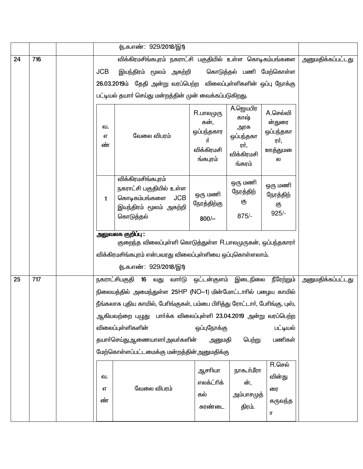|    |     |               | <u>ரு.க.எண்: 929/2018/இ1)</u>                                                                                       |                                                                        |                                                                       |                                                                  |                            |
|----|-----|---------------|---------------------------------------------------------------------------------------------------------------------|------------------------------------------------------------------------|-----------------------------------------------------------------------|------------------------------------------------------------------|----------------------------|
| 24 | 716 |               | விக்கிரமசிங்கபுரம் நகராட்சி பகுதியில் உள்ள கொடிகம்பங்களை                                                            |                                                                        |                                                                       |                                                                  | அனுமதிக்கப்பட்டது          |
|    |     | <b>JCB</b>    | இயந்திரம் மூலம் அகற்றி                                                                                              |                                                                        | கொடுத்தல் பணி மேற்கொள்ள                                               |                                                                  |                            |
|    |     |               | 26.03.2019ம் தேதி அன்று வரப்பெற்ற                                                                                   | விலைப்புள்ளிகளின் ஒப்பு நோக்கு                                         |                                                                       |                                                                  |                            |
|    |     |               | பட்டியல் தயார் செய்து மன்றத்தின் முன் வைக்கப்படுகிறது.                                                              |                                                                        |                                                                       |                                                                  |                            |
|    |     | வ.<br>எ<br>ண் | வேலை விபரம்                                                                                                         | <b>R.பாலமுரு</b><br>கன்,<br>ஒப்பந்தகார<br>πŤ<br>விக்கிரமசி<br>ங்கபுரம் | A.ஜெயபிர<br>காஷ்<br>அரசு<br>ஒப்பந்தகா<br>ரர்,<br>விக்கிரமசி<br>ங்கரம் | A.செல்வி<br>ன்துரை<br>ஒப்பந்தகா<br>ரர்,<br><u>ஊத்த</u> ுமலை<br>ல |                            |
|    |     | $\mathbf{1}$  | விக்கிரமசிங்கபுரம்<br>நகராட்சி பகுதியில் உள்ள<br>கொடிகம்பங்களை<br><b>JCB</b><br>இயந்திரம் மூலம் அகற்றி<br>கொடுத்தல் | ஒரு மணி<br>நேரத்திற்கு<br>$800/-$                                      | ஒரு மணி<br>நேரத்திற்<br>கு<br>$875/-$                                 | ஒரு மணி<br>நேரத்திற்<br>கு<br>$925/-$                            |                            |
|    |     |               | அலுவலக குறிப்பு :                                                                                                   |                                                                        |                                                                       |                                                                  |                            |
|    |     |               | குறைந்த விலைப்புள்ளி கொடுத்துள்ள R.பாலமுருகன், ஒப்பந்தகாரர்                                                         |                                                                        |                                                                       |                                                                  |                            |
|    |     |               | விக்கிரமசிங்கபுரம் என்பவரது விலைப்புள்ளியை ஒப்புகொள்ளலாம்.<br>(ந.க.எண்: 929/2018/இ1)                                |                                                                        |                                                                       |                                                                  |                            |
| 25 | 717 |               | நகராட்சிபகுதி<br>16<br>வாா்டு<br>வது                                                                                | ஒட்டன்குளம்                                                            | இடைநிலை                                                               | நீரேற்றும்                                                       | அனுமதிக்கப்பட்ட <u>த</u> ு |
|    |     |               | நிலையத்தில் அமைந்துள்ள 25HP (NO–1) மின்மோட்டாரில் பழைய காயில்                                                       |                                                                        |                                                                       |                                                                  |                            |
|    |     |               | நீங்கலாக புதிய காயில், பேரிங்குகள், பம்பை பிரித்து ரோட்டார், பேரிங்கு, புஸ்,                                        |                                                                        |                                                                       |                                                                  |                            |
|    |     |               | ஆகியவற்றை பழுது பார்க்க விலைப்புள்ளி 23.04.2019 அன்று வரப்பெற்ற                                                     |                                                                        |                                                                       |                                                                  |                            |
|    |     |               | விலைப்புள்ளிகளின்                                                                                                   | ஒப்புநோக்கு                                                            |                                                                       | பட்டியல்                                                         |                            |
|    |     |               | தயாா்செய்துஆணையாளா்அவா்களின்                                                                                        | அனுமதி                                                                 | பெற்று                                                                | பணிகள்                                                           |                            |
|    |     |               | மேற்கொள்ளப்பட்டமைக்கு மன்றத்தின் அனுமதிக்கு                                                                         |                                                                        |                                                                       |                                                                  |                            |
|    |     | வ.<br>எ<br>ண் | வேலை விபரம்                                                                                                         | ஆசரியா<br>எலக்ட்ரிக்<br>கல்<br>சுரண்டை                                 | நாகூர்மீரா<br>ன்,<br>அம்பாசமுத்<br>திரம்.                             | $R.\mathsf{G}$ சல்<br>வின்து<br>ரை<br>கருவந்த<br>π               |                            |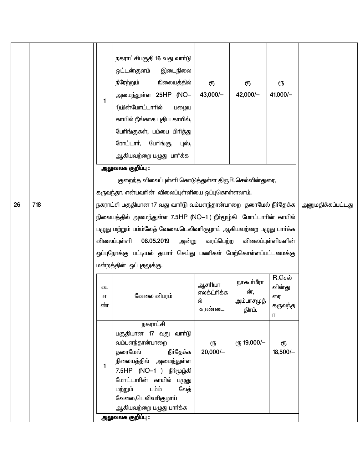|    |     | 1                                                                                                                                                                                                                                                     | நகராட்சிபகுதி 16 வது வார்டு<br>ஒட்டன்குளம்<br>இடைநிலை<br>நிலையத்தில்<br>நீரேற்றும்<br>அமைந்துள்ள 25HP (NO-<br>1)மின்மோட்டாரில்<br>பழைய<br>காயில் நீங்காக புதிய காயில்,<br>பேரிங்குகள், பம்பை பிரித்து<br>ரோட்டார், பேரிங்கு,<br>புஸ்,<br>ஆகியவற்றை பழுது பாா்க்க | ரூ<br>$43,000/-$                       | ரூ<br>$42,000/-$                          | ரூ<br>$41,000/-$                                   |                          |
|----|-----|-------------------------------------------------------------------------------------------------------------------------------------------------------------------------------------------------------------------------------------------------------|------------------------------------------------------------------------------------------------------------------------------------------------------------------------------------------------------------------------------------------------------------------|----------------------------------------|-------------------------------------------|----------------------------------------------------|--------------------------|
|    |     |                                                                                                                                                                                                                                                       | அலுவலக குறிப்பு :                                                                                                                                                                                                                                                |                                        |                                           |                                                    |                          |
|    |     |                                                                                                                                                                                                                                                       | குறைந்த விலைப்புள்ளி கொடுத்துள்ள திருR.செல்வின்துரை,                                                                                                                                                                                                             |                                        |                                           |                                                    |                          |
|    |     |                                                                                                                                                                                                                                                       | கருவந்தா. என்பவரின் விலைப்புள்ளியை ஒப்புகொள்ளலாம்.                                                                                                                                                                                                               |                                        |                                           |                                                    |                          |
| 26 | 718 |                                                                                                                                                                                                                                                       | நகராட்சி பகுதியான 17 வது வார்டு வம்பளந்தான்பாறை  தரைமேல் நீர்தேக்க                                                                                                                                                                                               |                                        |                                           |                                                    | <u>அனுமதிக்கப்பட்டது</u> |
|    |     | நிலையத்தில் அமைந்துள்ள 7.5HP (NO−1 ) நீா்மூழ்கி மோட்டாாின் காயில்<br>பழுது மற்றும் பம்ம்லேத் வேலை,டெலிவாிகுழாய் ஆகியவற்றை பழுது பாா்க்க<br>விலைப்புள்ளி<br>ஒப்புநோக்கு பட்டியல் தயாா் செய்து பணிகள் மேற்கொள்ளப்பட்டமைக்கு<br>மன்றத்தின் ஒப்புதலுக்கு. |                                                                                                                                                                                                                                                                  |                                        |                                           |                                                    |                          |
|    |     | வ.<br>எ<br>ண்                                                                                                                                                                                                                                         | வேலை விபரம்                                                                                                                                                                                                                                                      | ஆசரியா<br>எலக்ட்ரிக்க<br>ல்<br>சுரண்டை | நாகூர்மீரா<br>ன்,<br>அம்பாசமுத்<br>திரம். | $R.\mathsf{G}$ சல்<br>வின்து<br>ரை<br>கருவந்த<br>П |                          |
|    |     | 1                                                                                                                                                                                                                                                     | நகராட்சி<br>பகுதியான 17 வது வாா்டு<br>வம்பளந்தான்பாறை<br>தரைமேல்<br>நீா்தேக்க<br>நிலையத்தில் அமைந்துள்ள<br>7.5HP (NO−1) நீர்மூழ்கி<br>மோட்டாரின் காயில் பழுது<br>பம்ம்<br>லேத்<br>மற்றும்<br>வேலை,டெலிவரிகுழாய்<br>ஆகியவற்றை பழுது பாா்க்க                       | ரூ<br>$20,000/-$                       | ет, 19,000/-                              | ரூ<br>$18,500/-$                                   |                          |
|    |     |                                                                                                                                                                                                                                                       | அலுவலக குறிப்பு :                                                                                                                                                                                                                                                |                                        |                                           |                                                    |                          |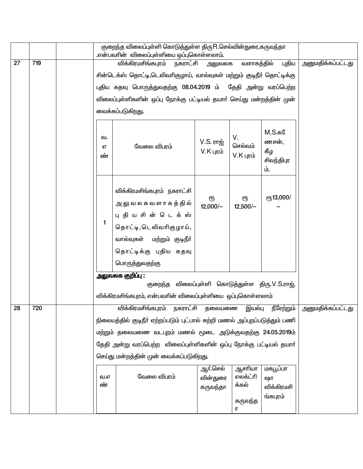|    |     |               | குறைந்த விலைப்புள்ளி கொடுத்துள்ள திருR.செல்வின்துரை,கருவந்தா<br>.என்பவரின் விலைப்புள்ளியை ஒப்புகொள்ளலாம்.                                                                       |                                  |                              |                                                    |                          |
|----|-----|---------------|---------------------------------------------------------------------------------------------------------------------------------------------------------------------------------|----------------------------------|------------------------------|----------------------------------------------------|--------------------------|
| 27 | 719 |               | விக்கிரமசிங்கபுரம்<br>நகராட்சி                                                                                                                                                  | அலுவலக                           | வளாகத்தில்                   | புதிய                                              | <u>அனுமதிக்கப்பட்டது</u> |
|    |     |               | சின்டெக்ஸ் தொட்டி,டெலிவரிகுழாய், வால்வுகள் மற்றும் குடிநீர் தொட்டிக்கு                                                                                                          |                                  |                              |                                                    |                          |
|    |     |               | புதிய கதவு பொருத்துவதற்கு 08.04.2019 ம் தேதி அன்று வரப்பெற்ற                                                                                                                    |                                  |                              |                                                    |                          |
|    |     |               | விலைப்புள்ளிகளின் ஒப்பு நோக்கு பட்டியல் தயாா் செய்து மன்றத்தின் முன்                                                                                                            |                                  |                              |                                                    |                          |
|    |     |               | வைக்கப்படுகிறது.                                                                                                                                                                |                                  |                              |                                                    |                          |
|    |     | வ.<br>எ<br>ண் | வேலை விபரம்                                                                                                                                                                     | V.S. ராஜ்<br>$V.K$ புரம்         | V.<br>செல்வம்<br>$V.K$ புரம் | $M, S.$ க $@$<br>ணசன்,<br>கீழ<br>சிவந்திபுர<br>ம். |                          |
|    |     | 1             | விக்கிரமசிங்கபுரம் நகராட்சி<br>அலு வ ல க வ ள ா க த் தி ல்<br>புதியசின் டெக்ஸ்<br>தொட்டி,டெலிவரிகுழாய்,<br>வால்வுகள் மற்றும் குடிநீர்<br>தொட்டிக்கு புதிய கதவு<br>பொருத்துவதற்கு | ரூ<br>$12,000/-$                 | ரூ<br>$12,500/-$             | er <sub>5</sub> 13,000/                            |                          |
|    |     |               | அலுவலக குறிப்பு :                                                                                                                                                               |                                  |                              |                                                    |                          |
|    |     |               | குறைந்த                                                                                                                                                                         |                                  |                              | விலைப்புள்ளி கொடுத்துள்ள திரு. V.S.ராஜ்,           |                          |
|    |     |               | விக்கிரமசிங்கபுரம், என்பவரின் விலைப்புள்ளியை ஒப்புகொள்ளலாம்                                                                                                                     |                                  |                              |                                                    |                          |
| 28 | 720 |               | விக்கிரமசிங்கபுரம் நகராட்சி தலையணை இயல்பு நீரேற்றும்                                                                                                                            |                                  |                              |                                                    | அனுமதிக்கப்பட்டது        |
|    |     |               | நிலையத்தில் குடிநீர் ஏற்றப்படும் புட்பால் சுற்றி மணல் அப்புறப்படுத்தும் பணி                                                                                                     |                                  |                              |                                                    |                          |
|    |     |               | மற்றும் தலையணை வடபுறம் மணல் மூடை அடுக்குவதற்கு 24.05.2019ம்                                                                                                                     |                                  |                              |                                                    |                          |
|    |     |               | தேதி அன்று வரப்பெற்ற விலைப்புள்ளிகளின் ஒப்பு நோக்கு பட்டியல் தயாா்                                                                                                              |                                  |                              |                                                    |                          |
|    |     |               | செய்து மன்றத்தின் முன் வைக்கப்படுகிறது.                                                                                                                                         |                                  |                              |                                                    |                          |
|    |     | வ.எ<br>ண்     | வேலை விபரம்                                                                                                                                                                     | ஆர்.செல்<br>வின்துரை<br>கருவந்தா | ஆசரியா<br>எலக்ட்ரி<br>க்கல்  | மகபூப்பா<br>ஷா<br>விக்கிரமசி                       |                          |
|    |     |               |                                                                                                                                                                                 |                                  | கருவந்த<br>π                 | ங்கபுரம்                                           |                          |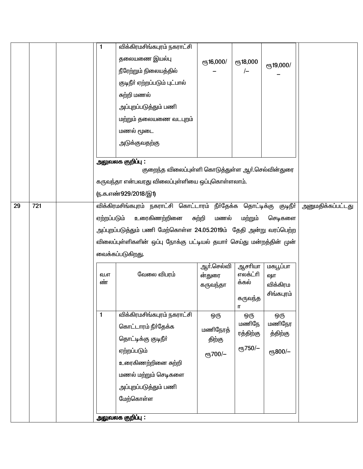|    |     | 1           | விக்கிரமசிங்கபுரம் நகராட்சி                                            |                                  |                                                          |                                          |                          |
|----|-----|-------------|------------------------------------------------------------------------|----------------------------------|----------------------------------------------------------|------------------------------------------|--------------------------|
|    |     |             | தலையணை இயல்பு                                                          | ரூ16,000/                        | <b>е</b> ҧ18,000                                         | ரூ19,000/                                |                          |
|    |     |             | நீரேற்றும் நிலையத்தில்                                                 |                                  | $\left\vert -\right\vert$                                |                                          |                          |
|    |     |             | குடிநீா் ஏற்றப்படும் புட்பால்                                          |                                  |                                                          |                                          |                          |
|    |     |             | சுற்றி மணல்                                                            |                                  |                                                          |                                          |                          |
|    |     |             | அப்புறப்படுத்தும் பணி                                                  |                                  |                                                          |                                          |                          |
|    |     |             | மற்றும் தலையணை வடபுறம்                                                 |                                  |                                                          |                                          |                          |
|    |     |             | மணல் மூடை                                                              |                                  |                                                          |                                          |                          |
|    |     |             | அடுக்குவதற்கு                                                          |                                  |                                                          |                                          |                          |
|    |     |             | அலுவலக குறிப்பு :<br>குறைந்த விலைப்புள்ளி கொடுத்துள்ள ஆர்.செல்வின்துரை |                                  |                                                          |                                          |                          |
|    |     |             | கருவந்தா என்பவரது விலைப்புள்ளியை ஒப்புகொள்ளலாம்.                       |                                  |                                                          |                                          |                          |
|    |     |             | <u>ரு.க.எண்929/2018/இ1)</u>                                            |                                  |                                                          |                                          |                          |
| 29 | 721 |             | விக்கிரமசிங்கபுரம் நகராட்சி கொட்டாரம் நீா்தேக்க தொட்டிக்கு குடிநீா்    |                                  |                                                          |                                          | <u>அனுமதிக்கப்பட்டது</u> |
|    |     | ஏற்றப்படும் | உரைகிணற்றினை                                                           | சுற்றி<br>மணல்                   | மற்றும்                                                  | செடிகளை                                  |                          |
|    |     |             | அப்புறப்படுத்தும் பணி மேற்கொள்ள 24.05.2019ம் தேதி அன்று வரப்பெற்ற      |                                  |                                                          |                                          |                          |
|    |     |             | விலைப்புள்ளிகளின் ஒப்பு நோக்கு பட்டியல் தயாா் செய்து மன்றத்தின் முன்   |                                  |                                                          |                                          |                          |
|    |     |             | வைக்கப்படுகிறது.                                                       |                                  |                                                          |                                          |                          |
|    |     | வ.எ<br>ண்   | வேலை விபரம்                                                            | ஆர்.செல்வி<br>ன்துரை<br>கருவந்தா | ஆசரியா<br>எலக்ட்ரி<br>க்கல்<br>கருவந்த<br>$\blacksquare$ | மகபூப்பா<br>ஷா<br>விக்கிரம<br>சிங்கபுரம் |                          |
|    |     | 1           | விக்கிரமசிங்கபுரம் நகராட்சி                                            | ஒரு                              | ஒரு                                                      | ஒரு                                      |                          |
|    |     |             | கொட்டாரம் நீர்தேக்க                                                    | மணிநேரத்                         | மணிநே<br>ரத்திற்கு                                       | மணிநேர<br>த்திற்கு                       |                          |
|    |     |             | தொட்டிக்கு குடிநீா்                                                    | திற்கு                           |                                                          |                                          |                          |
|    |     |             | ஏற்றப்படும்                                                            | ரூ700/-                          | ரூ750/-                                                  | ரூ800/-                                  |                          |
|    |     |             | உரைகிணற்றினை சுற்றி                                                    |                                  |                                                          |                                          |                          |
|    |     |             | மணல் மற்றும் செடிகளை                                                   |                                  |                                                          |                                          |                          |
|    |     |             | அப்புறப்படுத்தும் பணி                                                  |                                  |                                                          |                                          |                          |
|    |     |             | மேற்கொள்ள                                                              |                                  |                                                          |                                          |                          |
|    |     |             | அலுவலக குறிப்பு :                                                      |                                  |                                                          |                                          |                          |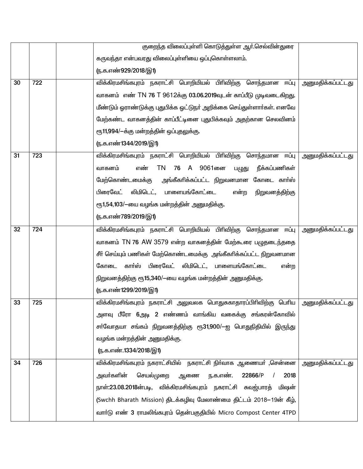|    |     | குறைந்த விலைப்புள்ளி கொடுத்துள்ள ஆர்.செல்வின்துரை                     |                          |
|----|-----|-----------------------------------------------------------------------|--------------------------|
|    |     | கருவந்தா என்பவரது விலைப்புள்ளியை ஒப்புகொள்ளலாம்.                      |                          |
|    |     | <u>ரு.க.எண்929/2018/இ1)</u>                                           |                          |
| 30 | 722 | விக்கிரமசிங்கபுரம் நகராட்சி பொறியியல் பிரிவிற்கு சொந்தமான ஈப்பு       | <u>அனுமதிக்கப்பட்டது</u> |
|    |     | வாகனம் எண் TN 76 T 9612க்கு 03.06.2019வுடன் காப்பீடு முடிவடைகிறது.    |                          |
|    |     | மீண்டும் ஓராண்டுக்கு புதுபிக்க ஓட்டுநா் அறிக்கை செய்துள்ளாா்கள். எனவே |                          |
|    |     | மேற்கண்ட வாகனத்தின் காப்பீட்டினை புதுபிக்கவும் அதற்கான செலவினம்       |                          |
|    |     | ரூ11,994/-க்கு மன்றத்தின் ஒப்புதலுக்கு.                               |                          |
|    |     | (ந.க.எண்1344/2019/இ1)                                                 |                          |
| 31 | 723 | விக்கிரமசிங்கபுரம் நகராட்சி பொறியியல் பிரிவிற்கு<br>சொந்தமான ஈப்பு    | <u>அனுமதிக்கப்பட்டது</u> |
|    |     | 76 A 9061னை<br>வாகனம்<br>எண்<br>TN<br>நீக்கப்பணிகள்<br>பழுது          |                          |
|    |     | மேற்கொண்டமைக்கு<br>அங்கீகாிக்கப்பட்ட நிறுவனமான கோடை காா்ஸ்            |                          |
|    |     | பிரைவேட்<br>லிமிடெட், பாளையங்கோட்டை<br>என்ற<br>நிறுவனத்திற்கு         |                          |
|    |     | ரூ1,54,103/-யை வழங்க மன்றத்தின் அனுமதிக்கு.                           |                          |
|    |     | (ந.க.எண்789/2019/இ1)                                                  |                          |
| 32 | 724 | விக்கிரமசிங்கபுரம் நகராட்சி பொறியியல் பிரிவிற்கு சொந்தமான ஈப்பு       | <u>அனுமதிக்கப்பட்டது</u> |
|    |     | வாகனம் TN 76 AW 3579 என்ற வாகனத்தின் மேற்கூரை பழுதடைந்ததை             |                          |
|    |     | சீா் செய்யும் பணிகள் மேற்கொண்டமைக்கு அங்கீகாிக்கப்பட்ட நிறுவனமான      |                          |
|    |     | பிரைவேட்<br>கார்ஸ்<br>லிமிடெட், பாளையங்கோட்டை<br>கோடை<br>என்ற         |                          |
|    |     | நிறுவனத்திற்கு ரூ15,340/-யை வழங்க மன்றத்தின் அனுமதிக்கு.              |                          |
|    |     | (ந.க.எண்1299/2019/இ1)                                                 |                          |
| 33 | 725 | விக்கிரமசிங்கபுரம் நகராட்சி அலுவலக பொதுசுகாதாரப்பிரிவிற்கு பெரிய      | <u>அனுமதிக்கப்பட்டது</u> |
|    |     | அளவு பீரோ 6அடி 2 எண்ணம் வாங்கிய வகைக்கு சங்கரன்கோவில்                 |                          |
|    |     | சா்வோதயா சங்கம் நிறுவனத்திற்கு ரூ31,900/—ஐ பொதுநிதியில் இருந்து       |                          |
|    |     | வழங்க மன்றத்தின் அனுமதிக்கு.                                          |                          |
|    |     | (ந.க.எண்.1334/2018/இ1)                                                |                          |
| 34 | 726 | விக்கிரமசிங்கபுரம் நகராட்சியில்  நகராட்சி நிா்வாக ஆணையா் ,சென்னை      | அனுமதிக்கப்பட்டது        |
|    |     | செயல்முறை<br>22866/P<br>அவா்களின்<br>ஆணை<br>ந.க.எண்.<br>2018          |                          |
|    |     | நாள்:23.08.2018ன்படி, விக்கிரமசிங்கபுரம் நகராட்சி சுவஜ்பாரத்<br>மிஷன் |                          |
|    |     | (Swchh Bharath Mission) திடக்கழிவு மேலாண்மை திட்டம் 2018–19ன் கீழ்,   |                          |
|    |     | வார்டு எண் 3 ராமலிங்கபுரம் தென்பகுதியில் Micro Compost Center 4TPD    |                          |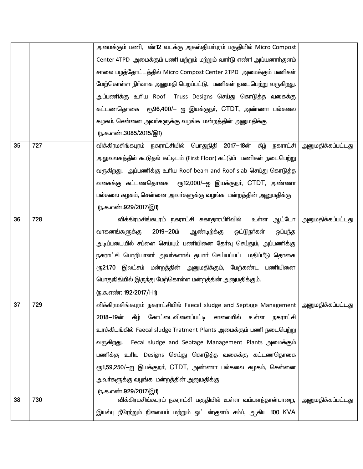|    |     | அமைக்கும் பணி,  ண் <b>12</b> வடக்கு அகஸ்தியா்புரம் பகுதியில் Micro Compost               |                          |
|----|-----|------------------------------------------------------------------------------------------|--------------------------|
|    |     | Center 4TPD அமைக்கும் பணி மற்றும் மற்றும் வார்டு எண்1 அய்யனார்குளம்                      |                          |
|    |     | சாலை பழத்தோட்டத்தில் Micro Compost Center 2TPD அமைக்கும் பணிகள்                          |                          |
|    |     | மேற்கொள்ள நிர்வாக அனுமதி பெறப்பட்டு, பணிகள் நடைபெற்று வருகிறது.                          |                          |
|    |     | அப்பணிக்கு உரிய Roof  Truss Designs செய்து கொடுத்த வகைக்கு                               |                          |
|    |     | கட்டணதொகை ரூ96,400/– ஐ இயக்குநா், CTDT, அண்ணா பல்கலை                                     |                          |
|    |     | கழகம், சென்னை அவா்களுக்கு வழங்க மன்றத்தின் அனுமதிக்கு                                    |                          |
|    |     | (ந.க.எண்.3085/2015/இ1)                                                                   |                          |
| 35 | 727 | விக்கிரமசிங்கபுரம் நகராட்சியில் பொதுநிதி 2017—18ன் கீழ் நகராட்சி                         | <u>அனுமதிக்கப்பட்டது</u> |
|    |     | அலுவலகத்தில் கூடுதல் கட்டிடம் (First Floor) கட்டும்  பணிகள் நடைபெற்று                    |                          |
|    |     | வருகிறது. அப்பணிக்கு உரிய Roof beam and Roof slab செய்து கொடுத்த                         |                          |
|    |     | வகைக்கு கட்டணதொகை ரூ12,000/–ஐ இயக்குநர், CTDT, அண்ணா                                     |                          |
|    |     | பல்கலை கழகம், சென்னை அவா்களுக்கு வழங்க  மன்றத்தின் அனுமதிக்கு                            |                          |
|    |     | <u>ரு.க.எண்.929/2017/இ1)</u>                                                             |                          |
| 36 | 728 | உள்ள ஆட்டோ  <br>விக்கிரமசிங்கபுரம் நகராட்சி சுகாதாரபிரிவில்                              | <u>அனுமதிக்கப்பட்டது</u> |
|    |     | வாகனங்களுக்கு<br>2019-20ம்<br>ஆண்டிற்க்கு<br>ஓட்டுநா்கள்<br>ஒப்பந்த                      |                          |
|    |     | அடிப்படையில் சப்ளை செய்யும் பணியினை தோ்வு செய்தும், அப்பணிக்கு                           |                          |
|    |     | நகராட்சி பொறியாளா் அவா்களால் தயாா் செய்யப்பட்ட மதிப்பீடு தொகை                            |                          |
|    |     | ரூ21.70 இலட்சம் மன்றத்தின் அனுமதிக்கும், மேற்கண்ட பணியினை                                |                          |
|    |     | பொதுநிதியில் இருந்து மேற்கொள்ள மன்றத்தின் அனுமதிக்கும்.                                  |                          |
|    |     | (ந.க.எண்: 192/2017/H1)                                                                   |                          |
| 37 | 729 | விக்கிரமசிங்கபுரம் நகராட்சியில் Faecal sludge and Septage Management   அனுமதிக்கப்பட்டது |                          |
|    |     | 2018–19ன் கீழ் கோட்டைவிளைப்பட்டி சாலையில் உள்ள நகராட்சி                                  |                          |
|    |     | உரக்கிடங்கில் Faecal sludge Tratment Plants அமைக்கும் பணி நடைபெற்று                      |                          |
|    |     | வருகிறது. Fecal sludge and Septage Management Plants அமைக்கும்                           |                          |
|    |     | பணிக்கு உரிய Designs செய்து கொடுத்த வகைக்கு கட்டணதொகை                                    |                          |
|    |     | ரூ1,59,250/—ஐ இயக்குநா், CTDT, அண்ணா பல்கலை கழகம், சென்னை                                |                          |
|    |     | அவா்களுக்கு வழங்க  மன்றத்தின் அனுமதிக்கு                                                 |                          |
|    |     | <u>ரு.க.எண்.929/2017/இ1)</u>                                                             |                          |
| 38 | 730 | விக்கிரமசிங்கபுரம் நகராட்சி பகுதியில் உள்ள வம்பளந்தான்பாறை,                              | <u>அனுமதிக்கப்பட்டது</u> |
|    |     | இயல்பு நீரேற்றும் நிலையம் மற்றும் ஒட்டன்குளம் சம்ப், ஆகிய 100 KVA                        |                          |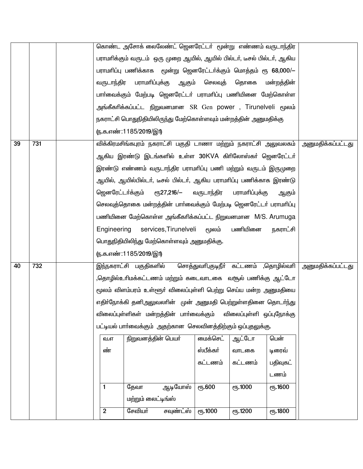|    |     |                                                                 |                                                                  | கொண்ட அசோக் லைலேண்ட் ஜெனரேட்டா் மூன்று எண்ணம் வருடாந்திர                |                  |                                       |                 |                          |
|----|-----|-----------------------------------------------------------------|------------------------------------------------------------------|-------------------------------------------------------------------------|------------------|---------------------------------------|-----------------|--------------------------|
|    |     |                                                                 |                                                                  | பராமாிக்கும் வருடம்  ஒரு முறை ஆயில், ஆயில் பில்டா், டீசல் பில்டா், ஆகிய |                  |                                       |                 |                          |
|    |     |                                                                 |                                                                  | பராமாிப்பு பணிக்காக மூன்று ஜெனரேட்டா்க்கும் மொத்தம் ரூ 68,000/-         |                  |                                       |                 |                          |
|    |     | வருடாந்திர                                                      | பராமரிப்புக்கு                                                   | ஆகும்                                                                   | செலவுத்          | தொகை                                  | மன்றத்தின்      |                          |
|    |     |                                                                 | பாா்வைக்கும் மேற்படி ஜெனரேட்டா் பராமாிப்பு பணியினை மேற்கொள்ள     |                                                                         |                  |                                       |                 |                          |
|    |     | அங்கீகாிக்கப்பட்ட நிறுவனமான SR Gen power , Tirunelveli மூலம்    |                                                                  |                                                                         |                  |                                       |                 |                          |
|    |     | நகராட்சி பொதுநிதியிலிருந்து மேற்கொள்ளவும் மன்றத்தின் அனுமதிக்கு |                                                                  |                                                                         |                  |                                       |                 |                          |
|    |     |                                                                 | <u>(ந</u> .க.எண்:1185/2019/இ1)                                   |                                                                         |                  |                                       |                 |                          |
| 39 | 731 |                                                                 | விக்கிரமசிங்கபுரம் நகராட்சி பகுதி டாணா மற்றும் நகராட்சி அலுவலகம் | <u>அனுமதிக்கப்பட்டது</u>                                                |                  |                                       |                 |                          |
|    |     |                                                                 | ஆகிய இரண்டு இடங்களில் உள்ள 30KVA கிரிலோஸ்கா் ஜெனரேட்டா்          |                                                                         |                  |                                       |                 |                          |
|    |     |                                                                 |                                                                  | இரண்டு எண்ணம் வருடாந்திர பராமாிப்பு பணி மற்றும் வருடம் இருமுறை          |                  |                                       |                 |                          |
|    |     |                                                                 |                                                                  | ஆயில், ஆயில்பில்டா், டீசல் பில்டா், ஆகிய பராமாிப்பு பணிக்காக இரண்டு     |                  |                                       |                 |                          |
|    |     | ஜெனரேட்டா்க்கும்                                                |                                                                  | <sub>С</sub> п <sub>5</sub> 27,216/-                                    | வருடாந்திர       | பராமரிப்புக்கு                        | ஆகும்           |                          |
|    |     |                                                                 |                                                                  | செலவுத்தொகை மன்றத்தின் பாா்வைக்கும் மேற்படி ஜெனரேட்டா் பராமாிப்பு       |                  |                                       |                 |                          |
|    |     |                                                                 |                                                                  | பணியினை மேற்கொள்ள அங்கீகாிக்கப்பட்ட நிறுவனமான M/S. Arumuga              |                  |                                       |                 |                          |
|    |     | Engineering                                                     |                                                                  | services, Tirunelveli                                                   | மூலம்            | பணியினை                               | நகராட்சி        |                          |
|    |     |                                                                 |                                                                  | பொதுநிதியிலிந்து மேற்கொள்ளவும் அனுமதிக்கு.                              |                  |                                       |                 |                          |
|    |     |                                                                 | <u>(ந</u> .க.எண்:1185/2019/இ1)                                   |                                                                         |                  |                                       |                 |                          |
| 40 | 732 |                                                                 | இந்நகராட்சி பகுதிகளில்                                           |                                                                         |                  | சொத்துவாி,குடிநீா் கட்டணம் ,தொழில்வாி |                 | <u>அனுமதிக்கப்பட்டது</u> |
|    |     |                                                                 |                                                                  | தொழில்உரிமக்கட்டணம் மற்றும் கடைவாடகை  வசூல் பணிக்கு  ஆட்டோ,             |                  |                                       |                 |                          |
|    |     |                                                                 |                                                                  | மூலம் விளம்பரம் உள்ளூா் விலைப்புள்ளி பெற்று செய்ய மன்ற அனுமதியை         |                  |                                       |                 |                          |
|    |     |                                                                 |                                                                  | எதிா்நோக்கி தனிஅலுவலாின் முன் அனுமதி பெற்றுள்ளதினை தொடா்ந்து            |                  |                                       |                 |                          |
|    |     |                                                                 |                                                                  | விலைப்புள்ளிகள் மன்றத்தின் பாா்வைக்கும்                                 |                  | விலைப்புள்ளி ஒப்புநோக்கு              |                 |                          |
|    |     |                                                                 |                                                                  | பட்டியல் பார்வைக்கும் அதற்கான செலவினத்திற்கும் ஒப்புதலுக்கு.            |                  |                                       |                 |                          |
|    |     | வ.எ                                                             | நிறுவனத்தின் பெயர்                                               |                                                                         | மைக்செட்         | ஆட்டோ                                 | பென்            |                          |
|    |     | ண்                                                              |                                                                  |                                                                         | ஸ்பீக்கா்        | வாடகை                                 | டிரைவ்          |                          |
|    |     |                                                                 |                                                                  |                                                                         | கட்டணம்          | கட்டணம்                               | பதிவுகட்        |                          |
|    |     |                                                                 |                                                                  |                                                                         |                  |                                       | டணம்            |                          |
|    |     | $\blacksquare$                                                  | தேவா                                                             | ஆடியோஸ்                                                                 | <b>е</b> љ.600   | <b>е</b> ђ.1000                       | <b>е</b> ђ.1600 |                          |
|    |     |                                                                 | மற்றும் லைட்டிங்ஸ்                                               |                                                                         |                  |                                       |                 |                          |
|    |     | $\overline{2}$                                                  | சேவியா்                                                          | சவுண்ட்ஸ்                                                               | <b>е</b> љ. 1000 | ரூ.1200                               | ரூ.1800         |                          |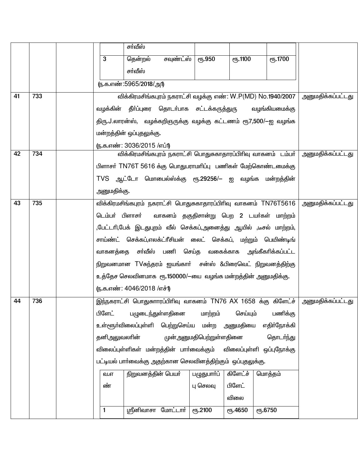|    |     |                                                            | சா்வீஸ்                                      |                                                               |                         |                 |                                                                    |                          |
|----|-----|------------------------------------------------------------|----------------------------------------------|---------------------------------------------------------------|-------------------------|-----------------|--------------------------------------------------------------------|--------------------------|
|    |     | 3                                                          | தென்றல்                                      | சவுண்ட்ஸ்                                                     | <b>е</b> ђ.950          | <b>е</b> ђ.1100 | <b>е</b> ҧ.1700                                                    |                          |
|    |     |                                                            | சா்வீஸ்                                      |                                                               |                         |                 |                                                                    |                          |
|    |     |                                                            | (ந.க.எண்:5965/2018/அ1)                       |                                                               |                         |                 |                                                                    |                          |
| 41 | 733 |                                                            |                                              |                                                               |                         |                 | விக்கிரமசிங்கபுரம் நகராட்சி வழக்கு எண்: W.P(MD) No.1940/2007       | அனுமதிக்கப்பட்டது        |
|    |     |                                                            | வழக்கின் தீா்ப்புரை தொடா்பாக சட்டக்கருத்துரு |                                                               |                         |                 | வழங்கியமைக்கு                                                      |                          |
|    |     |                                                            |                                              |                                                               |                         |                 | திரு.J.லாரன்ஸ், வழக்கறிஞருக்கு வழக்கு கட்டணம் ரூ7,500/—ஐ வழங்க     |                          |
|    |     |                                                            | மன்றத்தின் ஒப்புதலுக்கு.                     |                                                               |                         |                 |                                                                    |                          |
|    |     |                                                            | (ந.க.எண்: 3036/2015 /எப்1)                   |                                                               |                         |                 |                                                                    |                          |
| 42 | 734 |                                                            |                                              | விக்கிரமசிங்கபுரம் நகராட்சி பொதுசுகாதாரப்பிரிவு வாகனம் டம்பா் | அனுமதிக்கப்பட்டது       |                 |                                                                    |                          |
|    |     |                                                            |                                              | பிளாசா் TN76T 5616 க்கு பொதுபராமாிப்பு பணிகள் மேற்கொண்டமைக்கு |                         |                 |                                                                    |                          |
|    |     |                                                            |                                              | TVS ஆட்டோ மொபைல்ஸ்க்கு ரூ.29256/– ஐ வழங்க மன்றத்தின்          |                         |                 |                                                                    |                          |
|    |     | அனுமதிக்கு.                                                |                                              |                                                               |                         |                 |                                                                    |                          |
| 43 | 735 |                                                            |                                              |                                                               |                         |                 | விக்கிரமசிங்கபுரம் நகராட்சி பொதுசுகாதாரப்பிரிவு வாகனம் TN76T5616   | அனுமதிக்கப்பட்டது        |
|    |     | டெம்பர் பிளாசர்                                            |                                              |                                                               |                         |                 | வாகனம் தகுதிசான்று பெற 2 டயர்கள் மாற்றம்                           |                          |
|    |     |                                                            |                                              |                                                               |                         |                 | ,பேட்டாி,பேக் இடதுபுறம் வீல் செக்கப்,அனைத்து ஆயில் ,டீசல் மாற்றம், |                          |
|    |     |                                                            |                                              |                                                               |                         |                 | சாய்ண்ட் செக்கப்,எலக்ட்ரீசியன் லைட் செக்கப், மற்றும் பெயிண்டிங்    |                          |
|    |     |                                                            |                                              |                                                               |                         |                 | வாகனத்தை சா்வீஸ் பணி செய்த வகைக்காக அங்கீகாிக்கப்பட்ட              |                          |
|    |     |                                                            |                                              |                                                               |                         |                 | நிறுவனமான TVசுந்தரம் ஐயங்காா் சன்ஸ் &பிரைவெட் நிறுவனத்திற்கு       |                          |
|    |     |                                                            |                                              |                                                               |                         |                 | உத்தேச செலவினமாக  ரூ.150000/—யை  வழங்க மன்றத்தின் அனுமதிக்கு.      |                          |
|    |     |                                                            | (ந.க.எண்: 4046/2018 /எச்1)                   |                                                               |                         |                 |                                                                    |                          |
| 44 | 736 |                                                            |                                              |                                                               |                         |                 | இந்நகராட்சி பொதுசுாாரப்பிரிவு வாகனம் TN76 AX 1658 க்கு கிளேட்ச்    | <u>அனுமதிக்கப்பட்டது</u> |
|    |     | பிளேட்                                                     |                                              | பழுடைந்துள்ளதினை                                              | மாற்றம்                 | செய்யும்        | பணிக்கு                                                            |                          |
|    |     |                                                            | உள்ளூர்விலைப்புள்ளி பெற்றுசெய்ய மன்ற         |                                                               |                         | அனுமதியை        | எதிர்நோக்கி                                                        |                          |
|    |     | தனிஅலுவலாின்                                               |                                              |                                                               | முன்அனுமதிபெற்றுள்ளதினை |                 | தொடர்ந்து                                                          |                          |
|    |     |                                                            | விலைப்புள்ளிகள் மன்றத்தின் பாா்வைக்கும்      |                                                               |                         |                 | விலைப்புள்ளி ஒப்புநோக்கு                                           |                          |
|    |     |                                                            |                                              |                                                               |                         |                 |                                                                    |                          |
|    |     | வ.எ                                                        |                                              |                                                               |                         |                 |                                                                    |                          |
|    |     | ண்                                                         | நிறுவனத்தின் பெயர்                           |                                                               | பழுதுபார்ப்<br>பு செலவு | பிளேட்          |                                                                    |                          |
|    |     |                                                            |                                              |                                                               |                         | விலை            |                                                                    |                          |
|    |     | 1                                                          |                                              | <u> ஸ்ரீனிவாசா மோட்டார்</u>                                   | <b>е</b> ђ.2100         | <b>е</b> ђ.4650 | ரு.6750                                                            |                          |
|    |     | பட்டியல் பார்வைக்கு அதற்கான செலவினத்திற்கும் ஒப்புதலுக்கு. |                                              |                                                               |                         |                 |                                                                    |                          |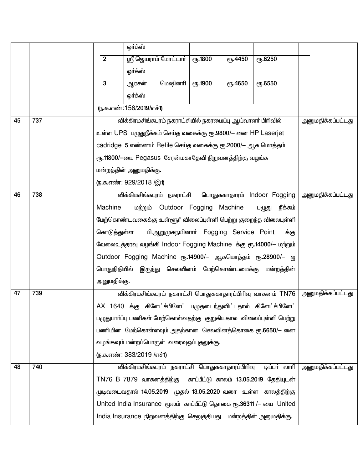|    |     |                           | ஒர்க்ஸ்                                                             |             |                                  |                   |  |                          |  |
|----|-----|---------------------------|---------------------------------------------------------------------|-------------|----------------------------------|-------------------|--|--------------------------|--|
|    |     | $\overline{2}$            | ஸ்ரீ ஜெயராம் மோட்டார்                                               | $e$ гђ.1800 | <b><i>e</i><sup>6</sup>.4450</b> | ரு.6250           |  |                          |  |
|    |     |                           | ஒர்க்ஸ்                                                             |             |                                  |                   |  |                          |  |
|    |     | $\mathbf{3}$              | மெஷினாி<br>ஆரசன்                                                    | ტრ. 1900    | ღந.4650                          | ரு.6550           |  |                          |  |
|    |     |                           | ஒர்க்ஸ்                                                             |             |                                  |                   |  |                          |  |
|    |     | (ந.க.எண்:156/2019/எச்1)   |                                                                     |             |                                  |                   |  |                          |  |
| 45 | 737 |                           | விக்கிரமசிங்கபுரம் நகராட்சியில் நகரமைப்பு ஆய்வாளர் பிரிவில்         |             |                                  | அனுமதிக்கப்பட்டது |  |                          |  |
|    |     |                           | உள்ள UPS பழுதுநீக்கம் செய்த வகைக்கு ரூ.9800/– னை HP Laserjet        |             |                                  |                   |  |                          |  |
|    |     |                           | cadridge 5 எண்ணம் Refile செய்த வகைக்கு ரூ.2000/– ஆக மொத்தம்         |             |                                  |                   |  |                          |  |
|    |     |                           | ரூ.11800/-யை Pegasus சேரன்மகாதேவி நிறுவனத்திற்கு வழங்க              |             |                                  |                   |  |                          |  |
|    |     |                           | மன்றத்தின் அனுமதிக்கு.                                              |             |                                  |                   |  |                          |  |
|    |     |                           | (ந.க.எண்: 929/2018 /இ1)                                             |             |                                  |                   |  |                          |  |
| 46 | 738 |                           | விக்கிமசிங்கபுரம் நகராட்சி பொதுசுகாதாரம் Indoor Fogging             |             |                                  |                   |  | <u>அனுமதிக்கப்பட்டது</u> |  |
|    |     | Machine                   | unggun Outdoor Fogging Machine                                      |             |                                  | நீக்கம்<br>பழுது  |  |                          |  |
|    |     |                           | மேற்கொண்டவகைக்கு உள்ளூர் விலைப்புள்ளி பெற்று குறைந்த விலைபுள்ளி     |             |                                  |                   |  |                          |  |
|    |     | கொடுத்துள்ள               | பி.ஆறுமுகநயினார் Fogging Service Point                              |             |                                  | க்கு              |  |                          |  |
|    |     |                           | வேலைஉத்தரவு வழங்கி Indoor Fogging Machine க்கு ரூ.14000/– மற்றும்   |             |                                  |                   |  |                          |  |
|    |     |                           | Outdoor Fogging Machine ரூ.14900/– ஆகமொத்தம் ரூ.28900/– ஐ           |             |                                  |                   |  |                          |  |
|    |     |                           | பொதுநிதியில் இருந்து செலவினம் மேற்கொண்டமைக்கு மன்றத்தின்            |             |                                  |                   |  |                          |  |
|    |     | அனுமதிக்கு.               |                                                                     |             |                                  |                   |  |                          |  |
| 47 | 739 |                           | விக்கிரமசிங்கபுரம் நகராட்சி பொதுசுகாதாரப்பிரிவு வாகனம் TN76         |             |                                  |                   |  | <u>அனுமதிக்கப்பட்டது</u> |  |
|    |     |                           | AX 1640 க்கு கிளேட்ச்பிளேட் பழுதடைந்துவிட்டதால் கிளேட்ச்பிளேட்      |             |                                  |                   |  |                          |  |
|    |     |                           | பழுதுபாா்ப்பு பணிகள் மேற்கொள்வதற்கு குறுகியகால விலைப்புள்ளி பெற்று  |             |                                  |                   |  |                          |  |
|    |     |                           | பணியின மேற்கொள்ளவும் அதற்கான செலவினத்தொகை ரூ.6650/— னை              |             |                                  |                   |  |                          |  |
|    |     |                           | வழங்கவும் மன்றப்பொருள் வரைவுஒப்புதலுக்கு.                           |             |                                  |                   |  |                          |  |
|    |     | (ந.க.எண்: 383/2019 /எச்1) |                                                                     |             |                                  |                   |  |                          |  |
| 48 | 740 |                           | விக்கிரமசிங்கபுரம் நகராட்சி பொதுசுகாதாரப்பிரிவு                     |             |                                  | டிப்பா் லாாி      |  | அனுமதிக்கப்பட்டது        |  |
|    |     |                           | TN76 B 7879 வாகனத்திற்கு காப்பீட்டு காலம் 13.05.2019 தேதியுடன்      |             |                                  |                   |  |                          |  |
|    |     |                           | முடிவடைவதால் 14.05.2019 முதல் 13.05.2020 வரை உள்ள காலத்திற்கு       |             |                                  |                   |  |                          |  |
|    |     |                           | United India Insurance மூலம் காப்பீட்டு தொகை ரூ.36311 / – யை United |             |                                  |                   |  |                          |  |
|    |     |                           | India Insurance நிறுவனத்திற்கு செலுத்தியது மன்றத்தின் அனுமதிக்கு.   |             |                                  |                   |  |                          |  |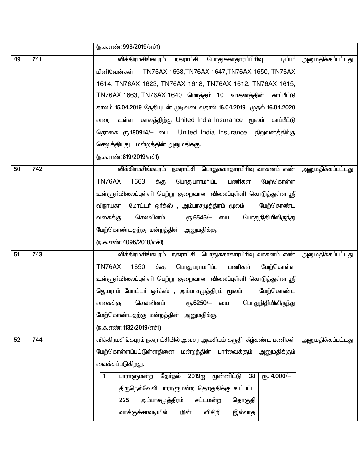|    |     | (ந.க.எண்:998/2019/எச்1)                                                         |                          |
|----|-----|---------------------------------------------------------------------------------|--------------------------|
| 49 | 741 | விக்கிரமசிங்கபுரம் நகராட்சி பொதுசுகாதாரப்பிரிவு<br>டிப்பர்                      | <u>அனுமதிக்கப்பட்டது</u> |
|    |     | மினிவேன்கள் TN76AX 1658,TN76AX 1647,TN76AX 1650, TN76AX                         |                          |
|    |     | 1614, TN76AX 1623, TN76AX 1618, TN76AX 1612, TN76AX 1615,                       |                          |
|    |     | TN76AX 1663, TN76AX 1640 மொத்தம் 10 வாகனத்தின் காப்பீட்டு                       |                          |
|    |     | காலம் 15.04.2019 தேதியுடன் முடிவடைவதால் 16.04.2019 முதல் 16.04.2020             |                          |
|    |     | வரை உள்ள காலத்திற்கு United India Insurance மூலம் காப்பீட்டு                    |                          |
|    |     | தொகை ரூ.180914/– யை United India Insurance நிறுவனத்திற்கு                       |                          |
|    |     | செலுத்தியது மன்றத்தின் அனுமதிக்கு.                                              |                          |
|    |     | (ந.க.எண்:819/2019/எச்1)                                                         |                          |
| 50 | 742 | விக்கிரமசிங்கபுரம் நகராட்சி பொதுசுகாதாரபிரிவு வாகனம் எண்                        | <u>அனுமதிக்கப்பட்டது</u> |
|    |     | க்கு<br>பணிகள்<br>TN76AX<br>1663<br>பொதுபராமரிப்பு<br>மேற்கொள்ள                 |                          |
|    |     | உள்ளூர்விலைப்புள்ளி பெற்று குறைவான விலைப்புள்ளி கொடுத்துள்ள ஸ்ரீ                |                          |
|    |     | விநாயகா மோட்டா் ஒா்க்ஸ் , அம்பாசமுத்திரம் மூலம்<br>மேற்கொண்ட                    |                          |
|    |     | செலவினம்<br>வகைக்கு<br>பொதுநிதியிலிருந்து<br>ரூ.6545/– யை                       |                          |
|    |     | மேற்கொண்டதற்கு மன்றத்தின் அனுமதிக்கு.                                           |                          |
|    |     | (ந.க.எண்:4096/2018/எச்1)                                                        |                          |
| 51 | 743 | விக்கிரமசிங்கபுரம் நகராட்சி பொதுசுகாதாரபிரிவு வாகனம் எண்                        | அனுமதிக்கப்பட்டது        |
|    |     | 1650<br>க்கு<br>பொதுபராமரிப்பு<br>பணிகள்<br>TN76AX<br>மேற்கொள்ள                 |                          |
|    |     | உள்ளூர்விலைப்புள்ளி பெற்று குறைவான விலைப்புள்ளி கொடுத்துள்ள ஸ்ரீ                |                          |
|    |     | ஜெயராம் மோட்டர் ஒர்க்ஸ் , அம்பாசமுத்திரம் மூலம்<br>மேற்கொண்ட                    |                          |
|    |     | செலவினம்<br>ரூ. <b>6250/</b> — யை<br>பொதுநிதியிலிருந்து<br>வகைக்கு              |                          |
|    |     | மேற்கொண்டதற்கு மன்றத்தின் அனுமதிக்கு.                                           |                          |
|    |     | (ந.க.எண்:1132/2019/எச்1)                                                        |                          |
| 52 | 744 | விக்கிரமசிங்கபுரம் நகராட்சியில் அவசர அவசியம் கருதி  கீழ்கண்ட பணிகள்             | <u>அனுமதிக்கப்பட்டது</u> |
|    |     | மேற்கொள்ளப்பட்டுள்ளதினை மன்றத்தின் பார்வைக்கும்<br>அனுமதிக்கும்                 |                          |
|    |     | வைக்கப்படுகிறது.                                                                |                          |
|    |     | முன்னிட்டு<br>$\sqrt{6}$ . 4,000/-<br>தேர்தல்<br>2019ஐ<br>38<br>பாராளுமன்ற<br>1 |                          |
|    |     | திருநெல்வேலி பாராளுமன்ற தொகுதிக்கு உட்பட்ட                                      |                          |
|    |     | அம்பாசமுத்திரம்<br>225<br>சட்டமன்ற<br>தொகுதி                                    |                          |
|    |     | மின்<br>வாக்குச்சாவடியில்<br>விசிறி<br>இல்லாத                                   |                          |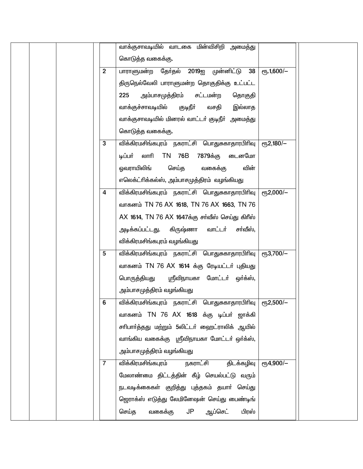|                | வாக்குசாவடியில் வாடகை மின்விசிறி அமைத்து              |                                     |  |
|----------------|-------------------------------------------------------|-------------------------------------|--|
|                | கொடுத்த வகைக்கு.                                      |                                     |  |
| $\overline{2}$ | பாராளுமன்ற தேர்தல் 2019ஐ முன்னிட்டு 38                | $\overline{e}$ Гђ. 1,600/-          |  |
|                |                                                       |                                     |  |
|                | திருநெல்வேலி பாராளுமன்ற தொகுதிக்கு உட்பட்ட            |                                     |  |
|                | அம்பாசமுத்திரம்<br>225<br>சட்டமன்ற<br>தொகுதி          |                                     |  |
|                | வாக்குச்சாவடியில்<br>குடிநீா்<br>இல்லாத<br>வசதி       |                                     |  |
|                | வாக்குசாவடியில் மினரல் வாட்டா் குடிநீா் அமைத்து       |                                     |  |
|                | கொடுத்த வகைக்கு.                                      |                                     |  |
| 3              | <u>விக்கிரமசிங்கபுரம் நகராட்சி பொது</u> சுகாதாரபிரிவு | $e$ гђ2,180/-                       |  |
|                | லாரி TN 76B<br>டிப்பர்<br>7879க்கு<br>டைனமோ           |                                     |  |
|                | ஒவராயிலிங்<br>செய்த<br>வகைக்கு<br>வின்                |                                     |  |
|                | எலெக்ட்ரிக்கல்ஸ், அம்பாசமுத்திரம் வழங்கியது           |                                     |  |
| 4              | விக்கிரமசிங்கபுரம் நகராட்சி பொதுசுகாதாரபிரிவு         | еҧ2,000/-                           |  |
|                | வாகனம் TN 76 AX 1618, TN 76 AX 1663, TN 76            |                                     |  |
|                | AX 1614, TN 76 AX 1647க்கு சர்வீஸ் செய்து கிரீஸ்      |                                     |  |
|                | அடிக்கப்பட்டது. கிருஷ்ணா<br>வாட்டர்<br>சா்வீஸ்,       |                                     |  |
|                | விக்கிரமசிங்கபுரம் வழங்கியது                          |                                     |  |
| 5              | <u>விக்கிரமசிங்கபுரம் நகராட்</u> சி பொதுசுகாதாரபிரிவு | еҧ3,700/-                           |  |
|                | வாகனம் TN 76 AX 1614 க்கு ரேடியட்டர் புதியது          |                                     |  |
|                | பொருத்தியது<br>ஸ்ரீவிநாயகா மோட்டர் ஒர்க்ஸ்,           |                                     |  |
|                | அம்பாசமுத்திரம் வழங்கியது                             |                                     |  |
| 6              | விக்கிரமசிங்கபுரம் நகராட்சி பொதுசுகாதாரபிரிவு         | <sub>С</sub> п <sub>5</sub> 2,500/- |  |
|                | வாகனம் TN 76 AX 1618 க்கு டிப்பர் ஜாக்கி              |                                     |  |
|                | சாிபாா்த்தது மற்றும் 5லிட்டா் ஹைட்ராலிக் ஆயில்        |                                     |  |
|                |                                                       |                                     |  |
|                | வாங்கிய வகைக்கு ஸ்ரீவிநாயகா மோட்டா் ஒா்க்ஸ்,          |                                     |  |
|                | அம்பாசமுத்திரம் வழங்கியது                             |                                     |  |
| $\overline{7}$ | விக்கிரமசிங்கபுரம் நகராட்சி<br>திடக்கழிவு             | еҧ4,900/-                           |  |
|                | மேலாண்மை திட்டத்தின் கீழ் செயல்பட்டு வரும்            |                                     |  |
|                | நடவடிக்கைகள் குறித்து புத்தகம் தயாா் செய்து           |                                     |  |
|                | ஜெராக்ஸ் எடுத்து லேமினேஷன் செய்து பைண்டிங்            |                                     |  |
|                | செய்த<br>வகைக்கு<br>JP<br>ஆப்செட்<br>பிரஸ்            |                                     |  |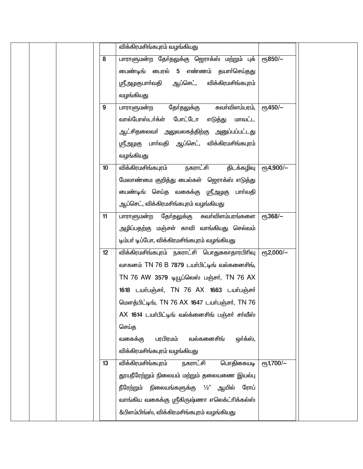|                  | விக்கிரமசிங்கபுரம் வழங்கியது                      |                          |  |
|------------------|---------------------------------------------------|--------------------------|--|
| 8                | பாராளுமன்ற தேர்தலுக்கு ஜெராக்ஸ் மற்றும் புக்      | еҧ850/-                  |  |
|                  | மைண்டிங் பைரல் 5 எண்ணம் தயார்செய்தது              |                          |  |
|                  | ஸ்ரீஅழகுபாா்வதி ஆப்செட், விக்கிரமசிங்கபுரம்       |                          |  |
|                  | வழங்கியது                                         |                          |  |
| 9                | சுவா்விளம்பரம்,<br>தோ்தலுக்கு<br>பாராளுமன்ற       | $\sqrt{61.450/-}$        |  |
|                  | வால்போஸ்டர்க்ள் போட்டோ எடுத்து மாவட்ட             |                          |  |
|                  | ஆட்சிதலைவா் அலுவலகத்திற்கு அனுப்பப்பட்டது         |                          |  |
|                  | ஸ்ரீஅழகு பாா்வதி ஆப்செட், விக்கிரமசிங்கபுரம்      |                          |  |
|                  | வழங்கியது                                         |                          |  |
| 10 <sup>10</sup> | விக்கிரமசிங்கபுரம்  நகராட்சி<br>திடக்கழிவு        | $\sqrt{654,900/-}$       |  |
|                  | மேலாண்மை குறித்து பைல்கள் ஜொாக்ஸ் எடுத்து         |                          |  |
|                  | மைண்டிங் செய்த வகைக்கு ஸ்ரீஅழகு பாா்வதி           |                          |  |
|                  | ஆப்செட், விக்கிரமசிங்கபுரம் வழங்கியது             |                          |  |
| 11               | பாராளுமன்ற தேர்தலுக்கு கவர்விளம்பரங்களை           | $e$ Гђ $368$ /-          |  |
|                  | அழிப்பதற்கு மஞ்சள் காவி வாங்கியது செல்வம்         |                          |  |
|                  | டிம்பா் டிப்போ, விக்கிரமசிங்கபுரம் வழங்கியது      |                          |  |
| 12               | விக்கிரமசிங்கபுரம் நகராட்சி பொதுசுகாதாரபிரிவு     | $\overline{e}$ Гђ2,000/- |  |
|                  | வாகனம் TN 76 B 7879 டயர்பிட்டிங் வல்களைசிங்,      |                          |  |
|                  | TN 76 AW 3579 டியூப்லெஸ் பஞ்சர், TN 76 AX         |                          |  |
|                  | 1618 டயர்பஞ்சர், TN 76 AX 1663 டயர்பஞ்சர்         |                          |  |
|                  | மௌத்பிட்டிங், TN 76 AX 1647 டயர்பஞ்சர், TN 76     |                          |  |
|                  | $AX$ 1614 டயர்பிட்டிங் வல்க்னைசிங் பஞ்சர் சர்வீஸ் |                          |  |
|                  | செய்த                                             |                          |  |
|                  | பரபிரமம்<br>வல்களைசிங்<br>வகைக்கு<br>ஒர்க்ஸ்,     |                          |  |
|                  | விக்கிரமசிங்கபுரம் வழங்கியது                      |                          |  |
| 13               | விக்கிரமசிங்கபுரம்<br>நகராட்சி<br>பொதிகையடி       | $e$ гъ 1,700/-           |  |
|                  | தூயநீரேற்றும் நிலையம் மற்றும் தலையணை இயல்பு       |                          |  |
|                  | நீரேற்றும் நிலையங்களுக்கு $1/2$ " ஆயில்<br>ரோப்   |                          |  |
|                  | வாங்கிய வகைக்கு ஸ்ரீகிருஷ்ணா எலெக்ட்ரிக்கல்ஸ்     |                          |  |
|                  | &பிளம்பிங்ஸ், விக்கிரமசிங்கபுரம் வழங்கியது        |                          |  |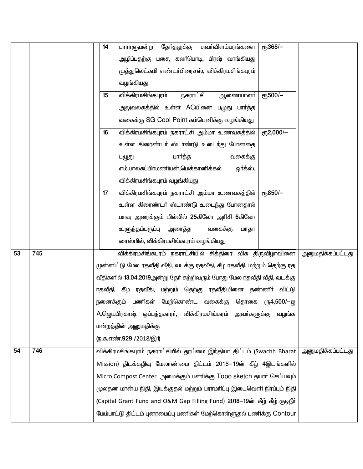|    |     | 14 | தோ்தலுக்கு<br>சுவா்விளம்பரங்களை<br>பாராளுமன்ற                              | еҧ368/-    |                   |  |  |
|----|-----|----|----------------------------------------------------------------------------|------------|-------------------|--|--|
|    |     |    | அழிப்பதற்கு பசை, கலா்பொடி, பிரஷ் வாங்கியது                                 |            |                   |  |  |
|    |     |    | முத்துலெட்சுமி எண்டா்பிரைசஸ், விக்கிரமசிங்கபுரம்                           |            |                   |  |  |
|    |     |    | வழங்கியது                                                                  |            |                   |  |  |
|    |     | 15 | விக்கிரமசிங்கபுரம்<br>நகராட்சி<br>ஆணையாளா்                                 | еҧ500/-    |                   |  |  |
|    |     |    | அலுவலகத்தில் உள்ள ACயினை பழுது பார்த்த                                     |            |                   |  |  |
|    |     |    | வகைக்கு SG Cool Point கம்பெனிக்கு வழங்கியது                                |            |                   |  |  |
|    |     | 16 | விக்கிரமசிங்கபுரம் நகராட்சி அம்மா உணவகத்தில்                               | еҧ2,000/-  |                   |  |  |
|    |     |    | உள்ள கிரைண்டா் ஸ்டாண்டு உடைந்து போனதை                                      |            |                   |  |  |
|    |     |    | பார்த்த<br>வகைக்கு<br>பழுது                                                |            |                   |  |  |
|    |     |    | எம்.பாலசுப்பிரமணியன்,மெக்கானிக்கல்<br>ஒர்க்ஸ்,                             |            |                   |  |  |
|    |     |    | விக்கிரமசிங்கபுரம் வழங்கியது                                               |            |                   |  |  |
|    |     | 17 | விக்கிரமசிங்கபுரம் நகராட்சி அம்மா உணவகத்தில்                               | еҧ850/-    |                   |  |  |
|    |     |    | உள்ள கிரைண்டா் ஸ்டாண்டு உடைந்து போனதால்                                    |            |                   |  |  |
|    |     |    | மாவு அரைக்கும் மில்லில் 25கிலோ அரிசி 6கிலோ                                 |            |                   |  |  |
|    |     |    | உளுந்தம்பருப்பு<br>அரைத்த<br>வகைக்கு<br>மாதா                               |            |                   |  |  |
|    |     |    | ரைஸ்மில், விக்கிரமசிங்கபுரம் வழங்கியது                                     |            |                   |  |  |
| 53 | 745 |    | விக்கிரமசிங்கபுரம் நகராட்சியில் சித்திரை விசு திருவிழாவினை                 |            | அனுமதிக்கப்பட்டது |  |  |
|    |     |    | முன்னிட்டு மேல ரதவீதி வீதி, வடக்கு ரதவீதி, கீழ ரதவீதி, மற்றும் தெற்கு ரத   |            |                   |  |  |
|    |     |    | வீதிகளில் 13.04.2019அன்று தோ் சுற்றிவரும் போது மேல ரதவீதி வீதி, வடக்கு     |            |                   |  |  |
|    |     |    | ரதவீதி, கீழ ரதவீதி, மற்றும் தெற்கு ரதவீதியினை தண்ணீா் விட்டு               |            |                   |  |  |
|    |     |    | நனைக்கும் பணிகள் மேற்கொண்ட வகைக்கு தொகை                                    | ரு4,500/—ஐ |                   |  |  |
|    |     |    | A.ஜெயபிரகாஷ் ஒப்பந்தகாரா், விக்கிரமசிங்கரம் அவா்களுக்கு                    | வழங்க      |                   |  |  |
|    |     |    | மன்றத்தின் அனுமதிக்கு                                                      |            |                   |  |  |
|    |     |    | (ந.க.எண்.929 /2018/இ1)                                                     |            |                   |  |  |
| 54 | 746 |    | விக்கிரமசிங்கபுரம் நகராட்சியில் தூய்மை இந்தியா திட்டம் (Swachh Bharat      |            | அனுமதிக்கப்பட்டது |  |  |
|    |     |    | Mission) திடக்கழிவு மேலாண்மை திட்டம் 2018–19ன் கீழ் 4இடங்களில்             |            |                   |  |  |
|    |     |    | Micro Compost Center அமைக்கும் பணிக்கு Topo sketch தயார் செய்யவும்         |            |                   |  |  |
|    |     |    | மூலதன மான்ய நிதி, இயக்குதல் மற்றும் பராமாிப்பு இடைவெளி நிரப்பும் நிதி      |            |                   |  |  |
|    |     |    | (Capital Grant Fund and O&M Gap Filling Fund) 2018-19ன் கீழ் கீழ் குடிநீர் |            |                   |  |  |
|    |     |    | மேம்பாட்டு திட்டம் புனரமைப்பு பணிகள் மேற்கொள்ளுதல் பணிக்கு Contour         |            |                   |  |  |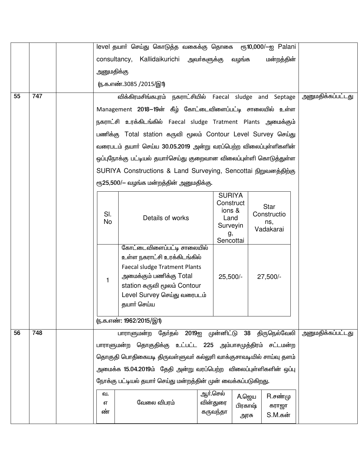|    |     | level தயார் செய்து கொடுத்த வகைக்கு தொகை ரூ10,000/-ஐ Palani |                                                                                                                                                                                                           |                                                      |                          |                                                |                          |
|----|-----|------------------------------------------------------------|-----------------------------------------------------------------------------------------------------------------------------------------------------------------------------------------------------------|------------------------------------------------------|--------------------------|------------------------------------------------|--------------------------|
|    |     |                                                            | consultancy, Kallidaikurichi அவர்களுக்கு                                                                                                                                                                  |                                                      | வழங்க                    | மன்றத்தின்                                     |                          |
|    |     | அனுமதிக்கு                                                 |                                                                                                                                                                                                           |                                                      |                          |                                                |                          |
|    |     |                                                            | (ந.க.எண்.3085 /2015/இ1)                                                                                                                                                                                   |                                                      |                          |                                                |                          |
| 55 | 747 |                                                            | விக்கிரமசிங்கபுரம் நகராட்சியில் Faecal sludge and Septage                                                                                                                                                 |                                                      |                          |                                                | அனுமதிக்கப்பட்டது        |
|    |     |                                                            | Management 2018–19ன் கீழ் கோட்டைவிளைப்பட்டி சாலையில் உள்ள                                                                                                                                                 |                                                      |                          |                                                |                          |
|    |     |                                                            | நகராட்சி உரக்கிடங்கில் Faecal sludge Tratment Plants அமைக்கும்                                                                                                                                            |                                                      |                          |                                                |                          |
|    |     |                                                            | பணிக்கு Total station கருவி மூலம் Contour Level Survey செய்து                                                                                                                                             |                                                      |                          |                                                |                          |
|    |     |                                                            | வரைபடம் தயாா் செய்ய 30.05.2019 அன்று வரப்பெற்ற விலைப்புள்ளிகளின்                                                                                                                                          |                                                      |                          |                                                |                          |
|    |     |                                                            | ஒப்புநோக்கு பட்டியல் தயார்செய்து குறைவான விலைப்புள்ளி கொடுத்துள்ள                                                                                                                                         |                                                      |                          |                                                |                          |
|    |     |                                                            | SURIYA Constructions & Land Surveying, Sencottai நிறுவனத்திற்கு                                                                                                                                           |                                                      |                          |                                                |                          |
|    |     |                                                            | ரூ25,500/– வழங்க மன்றத்தின் அனுமதிக்கு.                                                                                                                                                                   |                                                      |                          |                                                |                          |
|    |     | SI.<br>No                                                  | Details of works                                                                                                                                                                                          | <b>SURIYA</b><br>Land<br>Surveyin<br>g,<br>Sencottai | Construct<br>ions &      | <b>Star</b><br>Constructio<br>ns,<br>Vadakarai |                          |
|    |     | 1                                                          | கோட்டைவிளைப்பட்டி சாலையில்<br>உள்ள நகராட்சி உரக்கிடங்கில்<br><b>Faecal sludge Tratment Plants</b><br>அமைக்கும் பணிக்கு Total<br>station கருவி மூலம் Contour<br>Level Survey செய்து வரைபடம்<br>தயார் செய்ய | $25,500/-$                                           |                          | 27,500/-                                       |                          |
|    |     |                                                            | (ந.க.எண்: 1962/2015/இ1)                                                                                                                                                                                   |                                                      |                          |                                                |                          |
| 56 | 748 |                                                            | தேர்தல் 2019ஐ முன்னிட்டு 38 திருநெல்வேலி<br>பாராளுமன்ற                                                                                                                                                    |                                                      |                          |                                                | <u>அனுமதிக்கப்பட்டது</u> |
|    |     |                                                            | பாராளுமன்ற தொகுதிக்கு உட்பட்ட 225 அம்பாசமுத்திரம் சட்டமன்ற                                                                                                                                                |                                                      |                          |                                                |                          |
|    |     |                                                            | தொகுதி பொதிகையடி திருவள்ளுவா் கல்லுாி வாக்குசாவடியில் சாய்வு தளம்                                                                                                                                         |                                                      |                          |                                                |                          |
|    |     |                                                            | அமைக்க 15.04.2019ம் தேதி அன்று வரப்பெற்ற விலைப்புள்ளிகளின் ஒப்பு                                                                                                                                          |                                                      |                          |                                                |                          |
|    |     |                                                            | நோக்கு பட்டியல் தயாா் செய்து மன்றத்தின் முன் வைக்கப்படுகிறது.                                                                                                                                             |                                                      |                          |                                                |                          |
|    |     | வ.<br>எ<br>ண்                                              | வேலை விபரம்                                                                                                                                                                                               | ஆர்.செல்<br>வின்துரை<br>கருவந்தா                     | A.ஜெய<br>பிரகாஷ்<br>அரசு | $R.\vec{\theta}$ ண்மு<br>கராஜா<br>S.M.கன்      |                          |